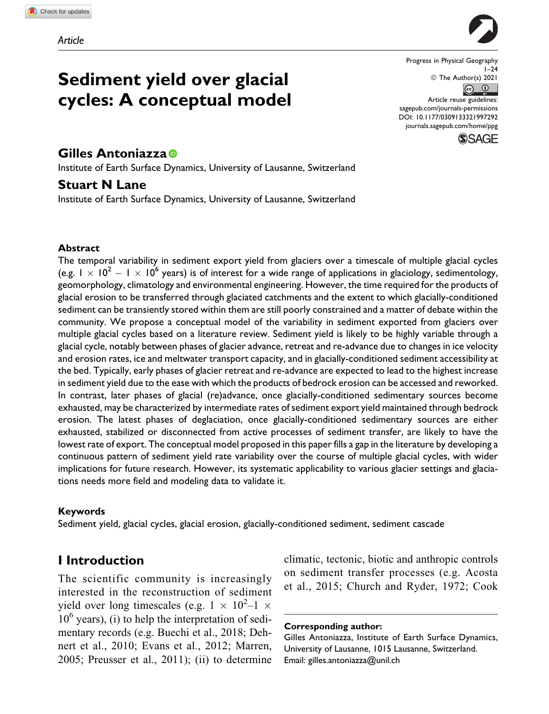

**Sediment yield over glacial cycles: A conceptual model**

# **Gilles Antoniazza**

Institute of Earth Surface Dynamics, University of Lausanne, Switzerland

# **Stuart N Lane**

Institute of Earth Surface Dynamics, University of Lausanne, Switzerland

#### **Abstract**

The temporal variability in sediment export yield from glaciers over a timescale of multiple glacial cycles (e.g.  $1 \times 10^2 - 1 \times 10^6$  years) is of interest for a wide range of applications in glaciology, sedimentology, geomorphology, climatology and environmental engineering. However, the time required for the products of glacial erosion to be transferred through glaciated catchments and the extent to which glacially-conditioned sediment can be transiently stored within them are still poorly constrained and a matter of debate within the community. We propose a conceptual model of the variability in sediment exported from glaciers over multiple glacial cycles based on a literature review. Sediment yield is likely to be highly variable through a glacial cycle, notably between phases of glacier advance, retreat and re-advance due to changes in ice velocity and erosion rates, ice and meltwater transport capacity, and in glacially-conditioned sediment accessibility at the bed. Typically, early phases of glacier retreat and re-advance are expected to lead to the highest increase in sediment yield due to the ease with which the products of bedrock erosion can be accessed and reworked. In contrast, later phases of glacial (re)advance, once glacially-conditioned sedimentary sources become exhausted, may be characterized by intermediate rates of sediment export yield maintained through bedrock erosion. The latest phases of deglaciation, once glacially-conditioned sedimentary sources are either exhausted, stabilized or disconnected from active processes of sediment transfer, are likely to have the lowest rate of export. The conceptual model proposed in this paper fills a gap in the literature by developing a continuous pattern of sediment yield rate variability over the course of multiple glacial cycles, with wider implications for future research. However, its systematic applicability to various glacier settings and glaciations needs more field and modeling data to validate it.

#### **Keywords**

Sediment yield, glacial cycles, glacial erosion, glacially-conditioned sediment, sediment cascade

# **I Introduction**

The scientific community is increasingly interested in the reconstruction of sediment yield over long timescales (e.g.  $1 \times 10^2 - 1 \times$  $10<sup>6</sup>$  years), (i) to help the interpretation of sedimentary records (e.g. Buechi et al., 2018; Dehnert et al., 2010; Evans et al., 2012; Marren, 2005; Preusser et al., 2011); (ii) to determine climatic, tectonic, biotic and anthropic controls on sediment transfer processes (e.g. Acosta et al., 2015; Church and Ryder, 1972; Cook

**Corresponding author:**

Gilles Antoniazza, Institute of Earth Surface Dynamics, University of Lausanne, 1015 Lausanne, Switzerland. Email: [gilles.antoniazza@unil.ch](mailto:gilles.antoniazza@unil.ch)

Progress in Physical Geography  $1 - 24$ © The Author(s) 2021  $\overline{6}$   $\overline{0}$ Article reuse guidelines: [sagepub.com/journals-permissions](https://sagepub.com/journals-permissions) [DOI: 10.1177/0309133321997292](https://doi.org/10.1177/0309133321997292)

[journals.sagepub.com/home/ppg](http://journals.sagepub.com/home/ppg)

**SAGE**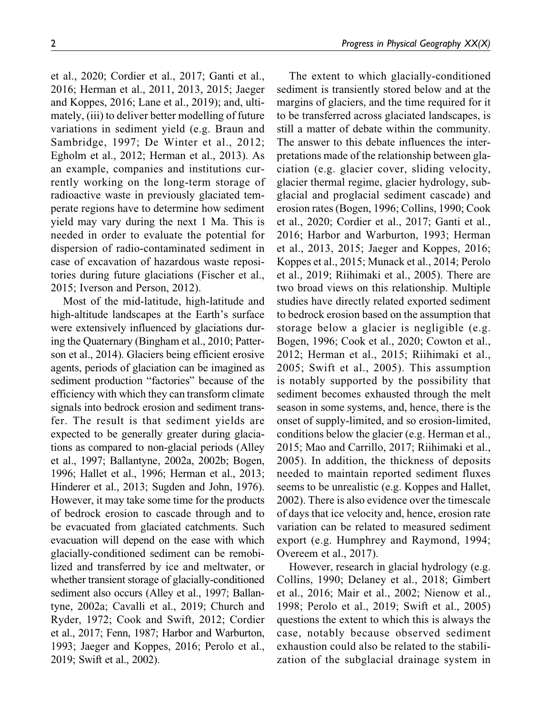et al., 2020; Cordier et al., 2017; Ganti et al., 2016; Herman et al., 2011, 2013, 2015; Jaeger and Koppes, 2016; Lane et al., 2019); and, ultimately, (iii) to deliver better modelling of future variations in sediment yield (e.g. Braun and Sambridge, 1997; De Winter et al., 2012; Egholm et al., 2012; Herman et al., 2013). As an example, companies and institutions currently working on the long-term storage of radioactive waste in previously glaciated temperate regions have to determine how sediment yield may vary during the next 1 Ma. This is needed in order to evaluate the potential for dispersion of radio-contaminated sediment in case of excavation of hazardous waste repositories during future glaciations (Fischer et al., 2015; Iverson and Person, 2012).

Most of the mid-latitude, high-latitude and high-altitude landscapes at the Earth's surface were extensively influenced by glaciations during the Quaternary (Bingham et al., 2010; Patterson et al., 2014). Glaciers being efficient erosive agents, periods of glaciation can be imagined as sediment production "factories" because of the efficiency with which they can transform climate signals into bedrock erosion and sediment transfer. The result is that sediment yields are expected to be generally greater during glaciations as compared to non-glacial periods (Alley et al., 1997; Ballantyne, 2002a, 2002b; Bogen, 1996; Hallet et al., 1996; Herman et al., 2013; Hinderer et al., 2013; Sugden and John, 1976). However, it may take some time for the products of bedrock erosion to cascade through and to be evacuated from glaciated catchments. Such evacuation will depend on the ease with which glacially-conditioned sediment can be remobilized and transferred by ice and meltwater, or whether transient storage of glacially-conditioned sediment also occurs (Alley et al., 1997; Ballantyne, 2002a; Cavalli et al., 2019; Church and Ryder, 1972; Cook and Swift, 2012; Cordier et al., 2017; Fenn, 1987; Harbor and Warburton, 1993; Jaeger and Koppes, 2016; Perolo et al., 2019; Swift et al., 2002).

The extent to which glacially-conditioned sediment is transiently stored below and at the margins of glaciers, and the time required for it to be transferred across glaciated landscapes, is still a matter of debate within the community. The answer to this debate influences the interpretations made of the relationship between glaciation (e.g. glacier cover, sliding velocity, glacier thermal regime, glacier hydrology, subglacial and proglacial sediment cascade) and erosion rates (Bogen, 1996; Collins, 1990; Cook et al., 2020; Cordier et al., 2017; Ganti et al., 2016; Harbor and Warburton, 1993; Herman et al., 2013, 2015; Jaeger and Koppes, 2016; Koppes et al., 2015; Munack et al., 2014; Perolo et al., 2019; Riihimaki et al., 2005). There are two broad views on this relationship. Multiple studies have directly related exported sediment to bedrock erosion based on the assumption that storage below a glacier is negligible (e.g. Bogen, 1996; Cook et al., 2020; Cowton et al., 2012; Herman et al., 2015; Riihimaki et al., 2005; Swift et al., 2005). This assumption is notably supported by the possibility that sediment becomes exhausted through the melt season in some systems, and, hence, there is the onset of supply-limited, and so erosion-limited, conditions below the glacier (e.g. Herman et al., 2015; Mao and Carrillo, 2017; Riihimaki et al., 2005). In addition, the thickness of deposits needed to maintain reported sediment fluxes seems to be unrealistic (e.g. Koppes and Hallet, 2002). There is also evidence over the timescale of days that ice velocity and, hence, erosion rate variation can be related to measured sediment export (e.g. Humphrey and Raymond, 1994; Overeem et al., 2017).

However, research in glacial hydrology (e.g. Collins, 1990; Delaney et al., 2018; Gimbert et al., 2016; Mair et al., 2002; Nienow et al., 1998; Perolo et al., 2019; Swift et al., 2005) questions the extent to which this is always the case, notably because observed sediment exhaustion could also be related to the stabilization of the subglacial drainage system in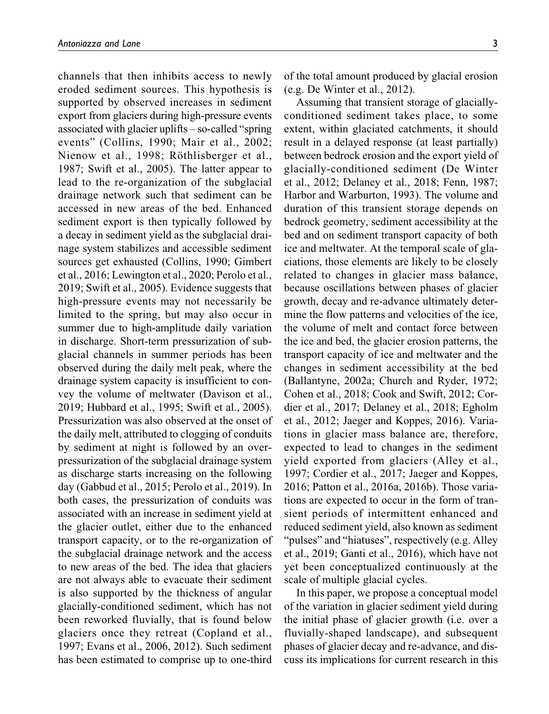channels that then inhibits access to newly eroded sediment sources. This hypothesis is supported by observed increases in sediment export from glaciers during high-pressure events associated with glacier uplifts – so-called "spring events" (Collins, 1990; Mair et al., 2002; Nienow et al., 1998; Röthlisberger et al., 1987; Swift et al., 2005). The latter appear to lead to the re-organization of the subglacial drainage network such that sediment can be accessed in new areas of the bed. Enhanced sediment export is then typically followed by a decay in sediment yield as the subglacial drainage system stabilizes and accessible sediment sources get exhausted (Collins, 1990; Gimbert et al., 2016; Lewington et al., 2020; Perolo et al., 2019; Swift et al., 2005). Evidence suggests that high-pressure events may not necessarily be limited to the spring, but may also occur in summer due to high-amplitude daily variation in discharge. Short-term pressurization of subglacial channels in summer periods has been observed during the daily melt peak, where the drainage system capacity is insufficient to convey the volume of meltwater (Davison et al., 2019; Hubbard et al., 1995; Swift et al., 2005). Pressurization was also observed at the onset of the daily melt, attributed to clogging of conduits by sediment at night is followed by an overpressurization of the subglacial drainage system as discharge starts increasing on the following day (Gabbud et al., 2015; Perolo et al., 2019). In both cases, the pressurization of conduits was associated with an increase in sediment yield at the glacier outlet, either due to the enhanced transport capacity, or to the re-organization of the subglacial drainage network and the access to new areas of the bed. The idea that glaciers are not always able to evacuate their sediment is also supported by the thickness of angular glacially-conditioned sediment, which has not been reworked fluvially, that is found below glaciers once they retreat (Copland et al., 1997; Evans et al., 2006, 2012). Such sediment has been estimated to comprise up to one-third

of the total amount produced by glacial erosion (e.g. De Winter et al., 2012).

Assuming that transient storage of glaciallyconditioned sediment takes place, to some extent, within glaciated catchments, it should result in a delayed response (at least partially) between bedrock erosion and the export yield of glacially-conditioned sediment (De Winter et al., 2012; Delaney et al., 2018; Fenn, 1987; Harbor and Warburton, 1993). The volume and duration of this transient storage depends on bedrock geometry, sediment accessibility at the bed and on sediment transport capacity of both ice and meltwater. At the temporal scale of glaciations, those elements are likely to be closely related to changes in glacier mass balance, because oscillations between phases of glacier growth, decay and re-advance ultimately determine the flow patterns and velocities of the ice, the volume of melt and contact force between the ice and bed, the glacier erosion patterns, the transport capacity of ice and meltwater and the changes in sediment accessibility at the bed (Ballantyne, 2002a; Church and Ryder, 1972; Cohen et al., 2018; Cook and Swift, 2012; Cordier et al., 2017; Delaney et al., 2018; Egholm et al., 2012; Jaeger and Koppes, 2016). Variations in glacier mass balance are, therefore, expected to lead to changes in the sediment yield exported from glaciers (Alley et al., 1997; Cordier et al., 2017; Jaeger and Koppes, 2016; Patton et al., 2016a, 2016b). Those variations are expected to occur in the form of transient periods of intermittent enhanced and reduced sediment yield, also known as sediment "pulses" and "hiatuses", respectively (e.g. Alley et al., 2019; Ganti et al., 2016), which have not yet been conceptualized continuously at the scale of multiple glacial cycles.

In this paper, we propose a conceptual model of the variation in glacier sediment yield during the initial phase of glacier growth (i.e. over a fluvially-shaped landscape), and subsequent phases of glacier decay and re-advance, and discuss its implications for current research in this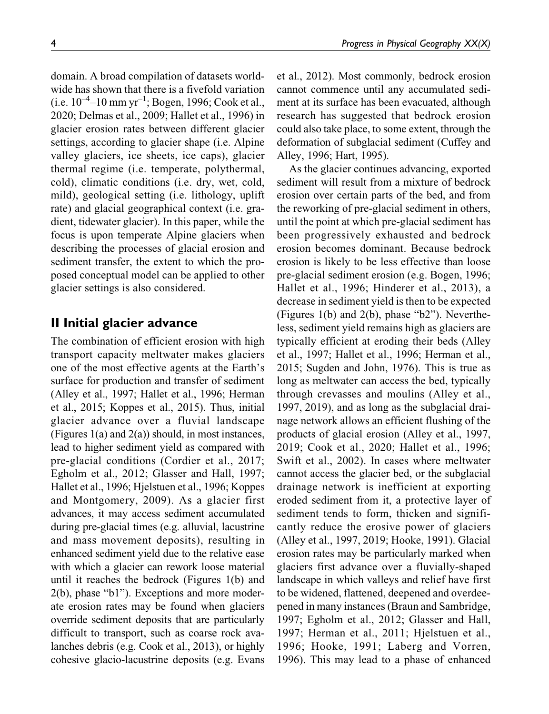domain. A broad compilation of datasets worldwide has shown that there is a fivefold variation (i.e.  $10^{-4}$ –10 mm yr<sup>-1</sup>; Bogen, 1996; Cook et al., 2020; Delmas et al., 2009; Hallet et al., 1996) in glacier erosion rates between different glacier settings, according to glacier shape (i.e. Alpine valley glaciers, ice sheets, ice caps), glacier thermal regime (i.e. temperate, polythermal, cold), climatic conditions (i.e. dry, wet, cold, mild), geological setting (i.e. lithology, uplift rate) and glacial geographical context (i.e. gradient, tidewater glacier). In this paper, while the focus is upon temperate Alpine glaciers when describing the processes of glacial erosion and sediment transfer, the extent to which the proposed conceptual model can be applied to other glacier settings is also considered.

# **II Initial glacier advance**

The combination of efficient erosion with high transport capacity meltwater makes glaciers one of the most effective agents at the Earth's surface for production and transfer of sediment (Alley et al., 1997; Hallet et al., 1996; Herman et al., 2015; Koppes et al., 2015). Thus, initial glacier advance over a fluvial landscape (Figures  $1(a)$  and  $2(a)$ ) should, in most instances, lead to higher sediment yield as compared with pre-glacial conditions (Cordier et al., 2017; Egholm et al., 2012; Glasser and Hall, 1997; Hallet et al., 1996; Hjelstuen et al., 1996; Koppes and Montgomery, 2009). As a glacier first advances, it may access sediment accumulated during pre-glacial times (e.g. alluvial, lacustrine and mass movement deposits), resulting in enhanced sediment yield due to the relative ease with which a glacier can rework loose material until it reaches the bedrock (Figures 1(b) and 2(b), phase "b1"). Exceptions and more moderate erosion rates may be found when glaciers override sediment deposits that are particularly difficult to transport, such as coarse rock avalanches debris (e.g. Cook et al., 2013), or highly cohesive glacio-lacustrine deposits (e.g. Evans et al., 2012). Most commonly, bedrock erosion cannot commence until any accumulated sediment at its surface has been evacuated, although research has suggested that bedrock erosion could also take place, to some extent, through the deformation of subglacial sediment (Cuffey and Alley, 1996; Hart, 1995).

As the glacier continues advancing, exported sediment will result from a mixture of bedrock erosion over certain parts of the bed, and from the reworking of pre-glacial sediment in others, until the point at which pre-glacial sediment has been progressively exhausted and bedrock erosion becomes dominant. Because bedrock erosion is likely to be less effective than loose pre-glacial sediment erosion (e.g. Bogen, 1996; Hallet et al., 1996; Hinderer et al., 2013), a decrease in sediment yield is then to be expected (Figures 1(b) and 2(b), phase "b2"). Nevertheless, sediment yield remains high as glaciers are typically efficient at eroding their beds (Alley et al., 1997; Hallet et al., 1996; Herman et al., 2015; Sugden and John, 1976). This is true as long as meltwater can access the bed, typically through crevasses and moulins (Alley et al., 1997, 2019), and as long as the subglacial drainage network allows an efficient flushing of the products of glacial erosion (Alley et al., 1997, 2019; Cook et al., 2020; Hallet et al., 1996; Swift et al., 2002). In cases where meltwater cannot access the glacier bed, or the subglacial drainage network is inefficient at exporting eroded sediment from it, a protective layer of sediment tends to form, thicken and significantly reduce the erosive power of glaciers (Alley et al., 1997, 2019; Hooke, 1991). Glacial erosion rates may be particularly marked when glaciers first advance over a fluvially-shaped landscape in which valleys and relief have first to be widened, flattened, deepened and overdeepened in many instances (Braun and Sambridge, 1997; Egholm et al., 2012; Glasser and Hall, 1997; Herman et al., 2011; Hjelstuen et al., 1996; Hooke, 1991; Laberg and Vorren, 1996). This may lead to a phase of enhanced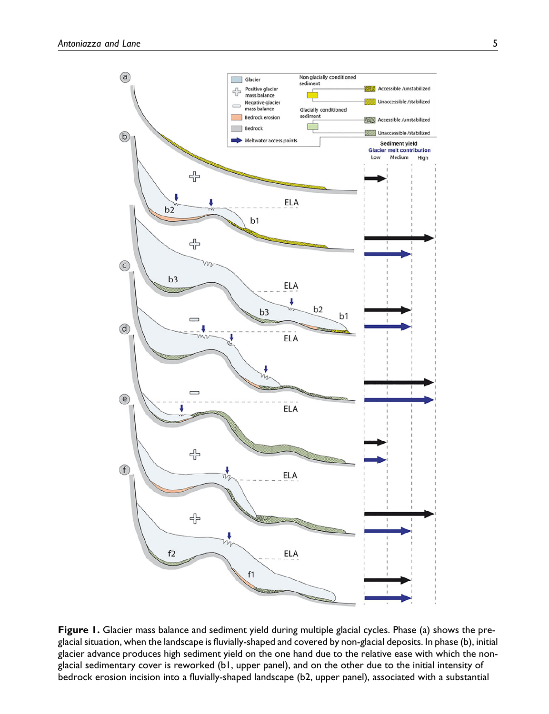

**Figure 1.** Glacier mass balance and sediment yield during multiple glacial cycles. Phase (a) shows the preglacial situation, when the landscape is fluvially-shaped and covered by non-glacial deposits. In phase (b), initial glacier advance produces high sediment yield on the one hand due to the relative ease with which the nonglacial sedimentary cover is reworked (b1, upper panel), and on the other due to the initial intensity of bedrock erosion incision into a fluvially-shaped landscape (b2, upper panel), associated with a substantial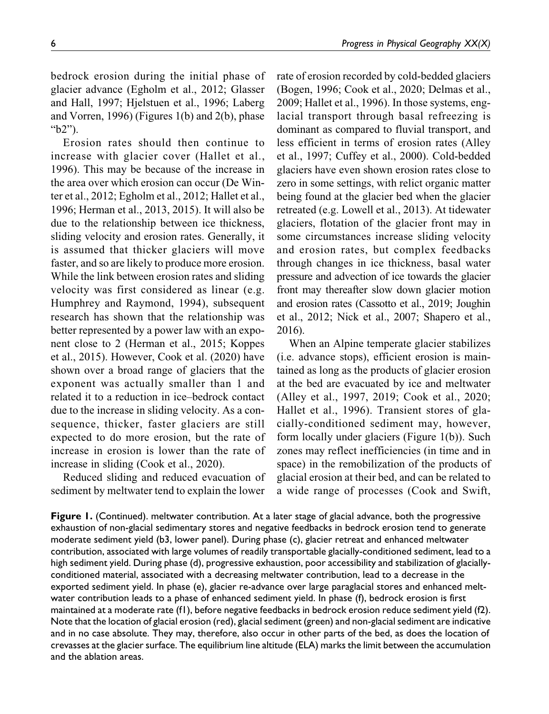bedrock erosion during the initial phase of glacier advance (Egholm et al., 2012; Glasser and Hall, 1997; Hjelstuen et al., 1996; Laberg and Vorren, 1996) (Figures 1(b) and 2(b), phase "b2").

Erosion rates should then continue to increase with glacier cover (Hallet et al., 1996). This may be because of the increase in the area over which erosion can occur (De Winter et al., 2012; Egholm et al., 2012; Hallet et al., 1996; Herman et al., 2013, 2015). It will also be due to the relationship between ice thickness, sliding velocity and erosion rates. Generally, it is assumed that thicker glaciers will move faster, and so are likely to produce more erosion. While the link between erosion rates and sliding velocity was first considered as linear (e.g. Humphrey and Raymond, 1994), subsequent research has shown that the relationship was better represented by a power law with an exponent close to 2 (Herman et al., 2015; Koppes et al., 2015). However, Cook et al. (2020) have shown over a broad range of glaciers that the exponent was actually smaller than 1 and related it to a reduction in ice–bedrock contact due to the increase in sliding velocity. As a consequence, thicker, faster glaciers are still expected to do more erosion, but the rate of increase in erosion is lower than the rate of increase in sliding (Cook et al., 2020).

Reduced sliding and reduced evacuation of sediment by meltwater tend to explain the lower

rate of erosion recorded by cold-bedded glaciers (Bogen, 1996; Cook et al., 2020; Delmas et al., 2009; Hallet et al., 1996). In those systems, englacial transport through basal refreezing is dominant as compared to fluvial transport, and less efficient in terms of erosion rates (Alley et al., 1997; Cuffey et al., 2000). Cold-bedded glaciers have even shown erosion rates close to zero in some settings, with relict organic matter being found at the glacier bed when the glacier retreated (e.g. Lowell et al., 2013). At tidewater glaciers, flotation of the glacier front may in some circumstances increase sliding velocity and erosion rates, but complex feedbacks through changes in ice thickness, basal water pressure and advection of ice towards the glacier front may thereafter slow down glacier motion and erosion rates (Cassotto et al., 2019; Joughin et al., 2012; Nick et al., 2007; Shapero et al., 2016).

When an Alpine temperate glacier stabilizes (i.e. advance stops), efficient erosion is maintained as long as the products of glacier erosion at the bed are evacuated by ice and meltwater (Alley et al., 1997, 2019; Cook et al., 2020; Hallet et al., 1996). Transient stores of glacially-conditioned sediment may, however, form locally under glaciers (Figure 1(b)). Such zones may reflect inefficiencies (in time and in space) in the remobilization of the products of glacial erosion at their bed, and can be related to a wide range of processes (Cook and Swift,

**Figure 1.** (Continued). meltwater contribution. At a later stage of glacial advance, both the progressive exhaustion of non-glacial sedimentary stores and negative feedbacks in bedrock erosion tend to generate moderate sediment yield (b3, lower panel). During phase (c), glacier retreat and enhanced meltwater contribution, associated with large volumes of readily transportable glacially-conditioned sediment, lead to a high sediment yield. During phase (d), progressive exhaustion, poor accessibility and stabilization of glaciallyconditioned material, associated with a decreasing meltwater contribution, lead to a decrease in the exported sediment yield. In phase (e), glacier re-advance over large paraglacial stores and enhanced meltwater contribution leads to a phase of enhanced sediment yield. In phase (f), bedrock erosion is first maintained at a moderate rate (f1), before negative feedbacks in bedrock erosion reduce sediment yield (f2). Note that the location of glacial erosion (red), glacial sediment (green) and non-glacial sediment are indicative and in no case absolute. They may, therefore, also occur in other parts of the bed, as does the location of crevasses at the glacier surface. The equilibrium line altitude (ELA) marks the limit between the accumulation and the ablation areas.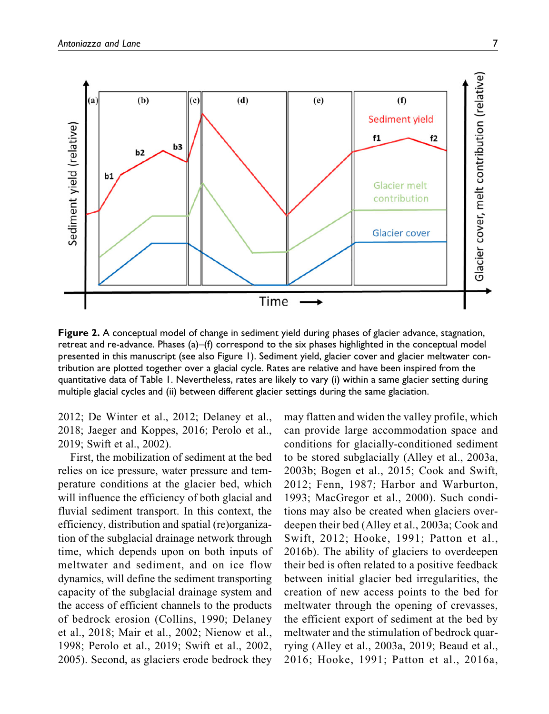

**Figure 2.** A conceptual model of change in sediment yield during phases of glacier advance, stagnation, retreat and re-advance. Phases (a)–(f) correspond to the six phases highlighted in the conceptual model presented in this manuscript (see also Figure 1). Sediment yield, glacier cover and glacier meltwater contribution are plotted together over a glacial cycle. Rates are relative and have been inspired from the quantitative data of Table 1. Nevertheless, rates are likely to vary (i) within a same glacier setting during multiple glacial cycles and (ii) between different glacier settings during the same glaciation.

2012; De Winter et al., 2012; Delaney et al., 2018; Jaeger and Koppes, 2016; Perolo et al., 2019; Swift et al., 2002).

First, the mobilization of sediment at the bed relies on ice pressure, water pressure and temperature conditions at the glacier bed, which will influence the efficiency of both glacial and fluvial sediment transport. In this context, the efficiency, distribution and spatial (re)organization of the subglacial drainage network through time, which depends upon on both inputs of meltwater and sediment, and on ice flow dynamics, will define the sediment transporting capacity of the subglacial drainage system and the access of efficient channels to the products of bedrock erosion (Collins, 1990; Delaney et al., 2018; Mair et al., 2002; Nienow et al., 1998; Perolo et al., 2019; Swift et al., 2002, 2005). Second, as glaciers erode bedrock they

may flatten and widen the valley profile, which can provide large accommodation space and conditions for glacially-conditioned sediment to be stored subglacially (Alley et al., 2003a, 2003b; Bogen et al., 2015; Cook and Swift, 2012; Fenn, 1987; Harbor and Warburton, 1993; MacGregor et al., 2000). Such conditions may also be created when glaciers overdeepen their bed (Alley et al., 2003a; Cook and Swift, 2012; Hooke, 1991; Patton et al., 2016b). The ability of glaciers to overdeepen their bed is often related to a positive feedback between initial glacier bed irregularities, the creation of new access points to the bed for meltwater through the opening of crevasses, the efficient export of sediment at the bed by meltwater and the stimulation of bedrock quarrying (Alley et al., 2003a, 2019; Beaud et al., 2016; Hooke, 1991; Patton et al., 2016a,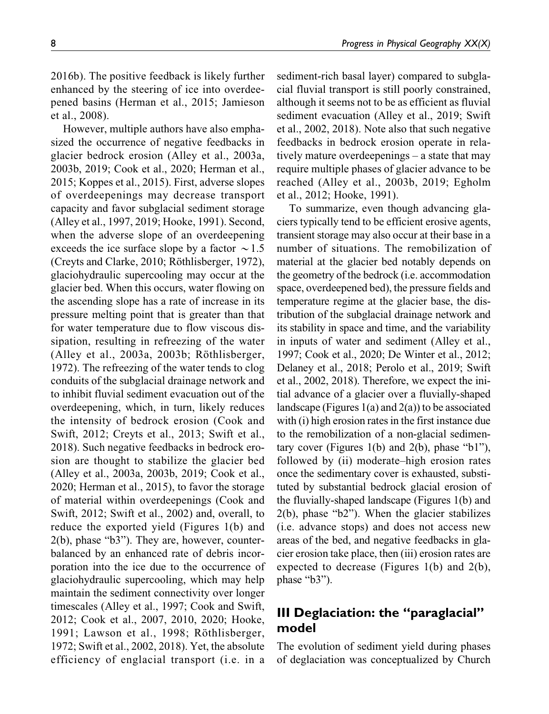2016b). The positive feedback is likely further enhanced by the steering of ice into overdeepened basins (Herman et al., 2015; Jamieson et al., 2008).

However, multiple authors have also emphasized the occurrence of negative feedbacks in glacier bedrock erosion (Alley et al., 2003a, 2003b, 2019; Cook et al., 2020; Herman et al., 2015; Koppes et al., 2015). First, adverse slopes of overdeepenings may decrease transport capacity and favor subglacial sediment storage (Alley et al., 1997, 2019; Hooke, 1991). Second, when the adverse slope of an overdeepening exceeds the ice surface slope by a factor  $\sim$  1.5 (Creyts and Clarke, 2010; Röthlisberger, 1972), glaciohydraulic supercooling may occur at the glacier bed. When this occurs, water flowing on the ascending slope has a rate of increase in its pressure melting point that is greater than that for water temperature due to flow viscous dissipation, resulting in refreezing of the water  $(A$ lley et al., 2003a, 2003b; Röthlisberger, 1972). The refreezing of the water tends to clog conduits of the subglacial drainage network and to inhibit fluvial sediment evacuation out of the overdeepening, which, in turn, likely reduces the intensity of bedrock erosion (Cook and Swift, 2012; Creyts et al., 2013; Swift et al., 2018). Such negative feedbacks in bedrock erosion are thought to stabilize the glacier bed (Alley et al., 2003a, 2003b, 2019; Cook et al., 2020; Herman et al., 2015), to favor the storage of material within overdeepenings (Cook and Swift, 2012; Swift et al., 2002) and, overall, to reduce the exported yield (Figures 1(b) and 2(b), phase "b3"). They are, however, counterbalanced by an enhanced rate of debris incorporation into the ice due to the occurrence of glaciohydraulic supercooling, which may help maintain the sediment connectivity over longer timescales (Alley et al., 1997; Cook and Swift, 2012; Cook et al., 2007, 2010, 2020; Hooke, 1991; Lawson et al., 1998; Röthlisberger, 1972; Swift et al., 2002, 2018). Yet, the absolute efficiency of englacial transport (i.e. in a

sediment-rich basal layer) compared to subglacial fluvial transport is still poorly constrained, although it seems not to be as efficient as fluvial sediment evacuation (Alley et al., 2019; Swift et al., 2002, 2018). Note also that such negative feedbacks in bedrock erosion operate in relatively mature overdeepenings – a state that may require multiple phases of glacier advance to be reached (Alley et al., 2003b, 2019; Egholm et al., 2012; Hooke, 1991).

To summarize, even though advancing glaciers typically tend to be efficient erosive agents, transient storage may also occur at their base in a number of situations. The remobilization of material at the glacier bed notably depends on the geometry of the bedrock (i.e. accommodation space, overdeepened bed), the pressure fields and temperature regime at the glacier base, the distribution of the subglacial drainage network and its stability in space and time, and the variability in inputs of water and sediment (Alley et al., 1997; Cook et al., 2020; De Winter et al., 2012; Delaney et al., 2018; Perolo et al., 2019; Swift et al., 2002, 2018). Therefore, we expect the initial advance of a glacier over a fluvially-shaped landscape (Figures  $1(a)$  and  $2(a)$ ) to be associated with (i) high erosion rates in the first instance due to the remobilization of a non-glacial sedimentary cover (Figures 1(b) and 2(b), phase "b1"), followed by (ii) moderate–high erosion rates once the sedimentary cover is exhausted, substituted by substantial bedrock glacial erosion of the fluvially-shaped landscape (Figures 1(b) and 2(b), phase "b2"). When the glacier stabilizes (i.e. advance stops) and does not access new areas of the bed, and negative feedbacks in glacier erosion take place, then (iii) erosion rates are expected to decrease (Figures 1(b) and 2(b), phase "b3").

# **III Deglaciation: the "paraglacial" model**

The evolution of sediment yield during phases of deglaciation was conceptualized by Church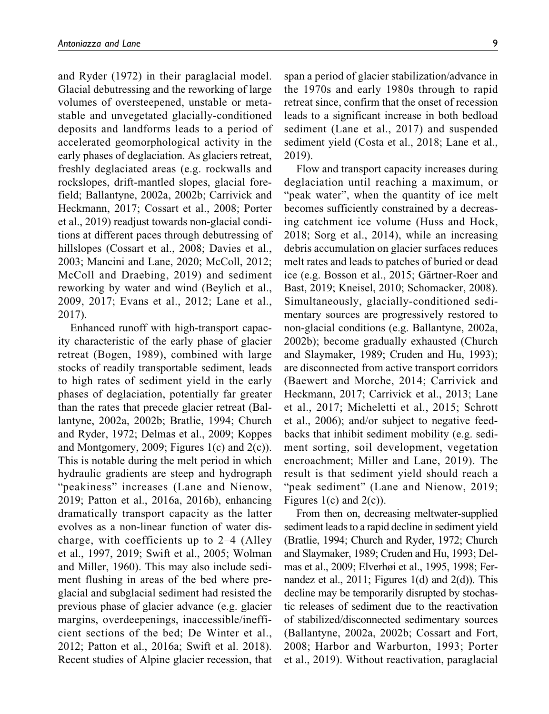and Ryder (1972) in their paraglacial model. Glacial debutressing and the reworking of large volumes of oversteepened, unstable or metastable and unvegetated glacially-conditioned deposits and landforms leads to a period of accelerated geomorphological activity in the early phases of deglaciation. As glaciers retreat, freshly deglaciated areas (e.g. rockwalls and rockslopes, drift-mantled slopes, glacial forefield; Ballantyne, 2002a, 2002b; Carrivick and Heckmann, 2017; Cossart et al., 2008; Porter et al., 2019) readjust towards non-glacial conditions at different paces through debutressing of hillslopes (Cossart et al., 2008; Davies et al., 2003; Mancini and Lane, 2020; McColl, 2012; McColl and Draebing, 2019) and sediment reworking by water and wind (Beylich et al., 2009, 2017; Evans et al., 2012; Lane et al., 2017).

Enhanced runoff with high-transport capacity characteristic of the early phase of glacier retreat (Bogen, 1989), combined with large stocks of readily transportable sediment, leads to high rates of sediment yield in the early phases of deglaciation, potentially far greater than the rates that precede glacier retreat (Ballantyne, 2002a, 2002b; Bratlie, 1994; Church and Ryder, 1972; Delmas et al., 2009; Koppes and Montgomery, 2009; Figures 1(c) and 2(c)). This is notable during the melt period in which hydraulic gradients are steep and hydrograph "peakiness" increases (Lane and Nienow, 2019; Patton et al., 2016a, 2016b), enhancing dramatically transport capacity as the latter evolves as a non-linear function of water discharge, with coefficients up to 2–4 (Alley et al., 1997, 2019; Swift et al., 2005; Wolman and Miller, 1960). This may also include sediment flushing in areas of the bed where preglacial and subglacial sediment had resisted the previous phase of glacier advance (e.g. glacier margins, overdeepenings, inaccessible/inefficient sections of the bed; De Winter et al., 2012; Patton et al., 2016a; Swift et al. 2018). Recent studies of Alpine glacier recession, that span a period of glacier stabilization/advance in the 1970s and early 1980s through to rapid retreat since, confirm that the onset of recession leads to a significant increase in both bedload sediment (Lane et al., 2017) and suspended sediment yield (Costa et al., 2018; Lane et al., 2019).

Flow and transport capacity increases during deglaciation until reaching a maximum, or "peak water", when the quantity of ice melt becomes sufficiently constrained by a decreasing catchment ice volume (Huss and Hock, 2018; Sorg et al., 2014), while an increasing debris accumulation on glacier surfaces reduces melt rates and leads to patches of buried or dead ice (e.g. Bosson et al., 2015; Gärtner-Roer and Bast, 2019; Kneisel, 2010; Schomacker, 2008). Simultaneously, glacially-conditioned sedimentary sources are progressively restored to non-glacial conditions (e.g. Ballantyne, 2002a, 2002b); become gradually exhausted (Church and Slaymaker, 1989; Cruden and Hu, 1993); are disconnected from active transport corridors (Baewert and Morche, 2014; Carrivick and Heckmann, 2017; Carrivick et al., 2013; Lane et al., 2017; Micheletti et al., 2015; Schrott et al., 2006); and/or subject to negative feedbacks that inhibit sediment mobility (e.g. sediment sorting, soil development, vegetation encroachment; Miller and Lane, 2019). The result is that sediment yield should reach a "peak sediment" (Lane and Nienow, 2019; Figures  $1(c)$  and  $2(c)$ ).

From then on, decreasing meltwater-supplied sediment leads to a rapid decline in sediment yield (Bratlie, 1994; Church and Ryder, 1972; Church and Slaymaker, 1989; Cruden and Hu, 1993; Delmas et al., 2009; Elverhøi et al., 1995, 1998; Fernandez et al.,  $2011$ ; Figures 1(d) and  $2(d)$ ). This decline may be temporarily disrupted by stochastic releases of sediment due to the reactivation of stabilized/disconnected sedimentary sources (Ballantyne, 2002a, 2002b; Cossart and Fort, 2008; Harbor and Warburton, 1993; Porter et al., 2019). Without reactivation, paraglacial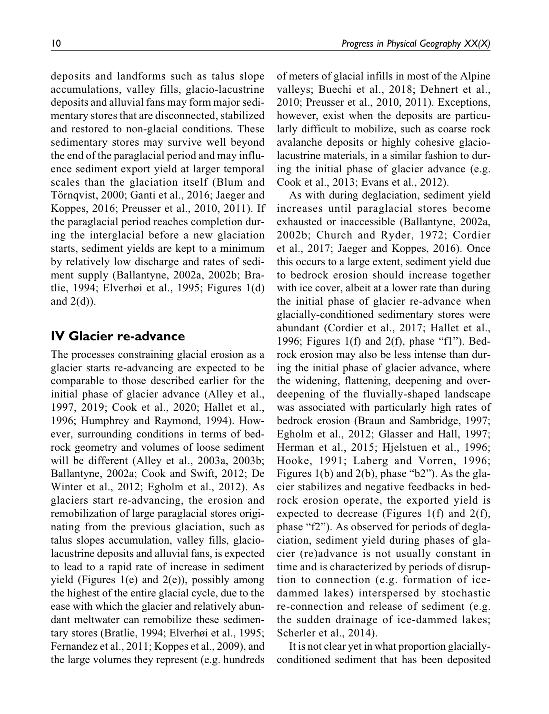deposits and landforms such as talus slope accumulations, valley fills, glacio-lacustrine deposits and alluvial fans may form major sedimentary stores that are disconnected, stabilized and restored to non-glacial conditions. These sedimentary stores may survive well beyond the end of the paraglacial period and may influence sediment export yield at larger temporal scales than the glaciation itself (Blum and Törnqvist, 2000; Ganti et al., 2016; Jaeger and Koppes, 2016; Preusser et al., 2010, 2011). If the paraglacial period reaches completion during the interglacial before a new glaciation starts, sediment yields are kept to a minimum by relatively low discharge and rates of sediment supply (Ballantyne, 2002a, 2002b; Bratlie, 1994; Elverhøi et al., 1995; Figures 1(d) and  $2(d)$ ).

# **IV Glacier re-advance**

The processes constraining glacial erosion as a glacier starts re-advancing are expected to be comparable to those described earlier for the initial phase of glacier advance (Alley et al., 1997, 2019; Cook et al., 2020; Hallet et al., 1996; Humphrey and Raymond, 1994). However, surrounding conditions in terms of bedrock geometry and volumes of loose sediment will be different (Alley et al., 2003a, 2003b; Ballantyne, 2002a; Cook and Swift, 2012; De Winter et al., 2012; Egholm et al., 2012). As glaciers start re-advancing, the erosion and remobilization of large paraglacial stores originating from the previous glaciation, such as talus slopes accumulation, valley fills, glaciolacustrine deposits and alluvial fans, is expected to lead to a rapid rate of increase in sediment yield (Figures 1(e) and  $2(e)$ ), possibly among the highest of the entire glacial cycle, due to the ease with which the glacier and relatively abundant meltwater can remobilize these sedimentary stores (Bratlie, 1994; Elverhøi et al., 1995; Fernandez et al., 2011; Koppes et al., 2009), and the large volumes they represent (e.g. hundreds of meters of glacial infills in most of the Alpine valleys; Buechi et al., 2018; Dehnert et al., 2010; Preusser et al., 2010, 2011). Exceptions, however, exist when the deposits are particularly difficult to mobilize, such as coarse rock avalanche deposits or highly cohesive glaciolacustrine materials, in a similar fashion to during the initial phase of glacier advance (e.g. Cook et al., 2013; Evans et al., 2012).

As with during deglaciation, sediment yield increases until paraglacial stores become exhausted or inaccessible (Ballantyne, 2002a, 2002b; Church and Ryder, 1972; Cordier et al., 2017; Jaeger and Koppes, 2016). Once this occurs to a large extent, sediment yield due to bedrock erosion should increase together with ice cover, albeit at a lower rate than during the initial phase of glacier re-advance when glacially-conditioned sedimentary stores were abundant (Cordier et al., 2017; Hallet et al., 1996; Figures 1(f) and 2(f), phase "f1"). Bedrock erosion may also be less intense than during the initial phase of glacier advance, where the widening, flattening, deepening and overdeepening of the fluvially-shaped landscape was associated with particularly high rates of bedrock erosion (Braun and Sambridge, 1997; Egholm et al., 2012; Glasser and Hall, 1997; Herman et al., 2015; Hjelstuen et al., 1996; Hooke, 1991; Laberg and Vorren, 1996; Figures 1(b) and 2(b), phase "b2"). As the glacier stabilizes and negative feedbacks in bedrock erosion operate, the exported yield is expected to decrease (Figures 1(f) and 2(f), phase "f2"). As observed for periods of deglaciation, sediment yield during phases of glacier (re)advance is not usually constant in time and is characterized by periods of disruption to connection (e.g. formation of icedammed lakes) interspersed by stochastic re-connection and release of sediment (e.g. the sudden drainage of ice-dammed lakes; Scherler et al., 2014).

It is not clear yet in what proportion glaciallyconditioned sediment that has been deposited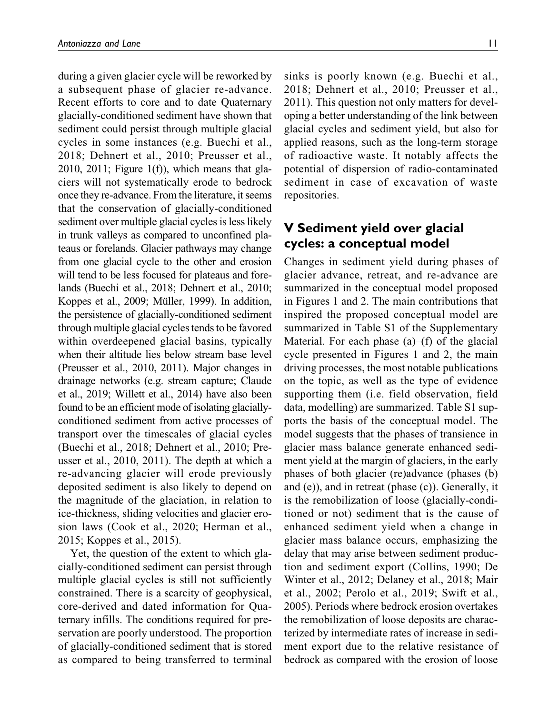during a given glacier cycle will be reworked by a subsequent phase of glacier re-advance. Recent efforts to core and to date Quaternary glacially-conditioned sediment have shown that sediment could persist through multiple glacial cycles in some instances (e.g. Buechi et al., 2018; Dehnert et al., 2010; Preusser et al.,  $2010$ ,  $2011$ ; Figure  $1(f)$ ), which means that glaciers will not systematically erode to bedrock once they re-advance. From the literature, it seems that the conservation of glacially-conditioned sediment over multiple glacial cycles is less likely in trunk valleys as compared to unconfined plateaus or forelands. Glacier pathways may change from one glacial cycle to the other and erosion will tend to be less focused for plateaus and forelands (Buechi et al., 2018; Dehnert et al., 2010; Koppes et al., 2009; Müller, 1999). In addition, the persistence of glacially-conditioned sediment through multiple glacial cycles tends to be favored within overdeepened glacial basins, typically when their altitude lies below stream base level (Preusser et al., 2010, 2011). Major changes in drainage networks (e.g. stream capture; Claude et al., 2019; Willett et al., 2014) have also been found to be an efficient mode of isolating glaciallyconditioned sediment from active processes of transport over the timescales of glacial cycles (Buechi et al., 2018; Dehnert et al., 2010; Preusser et al., 2010, 2011). The depth at which a re-advancing glacier will erode previously deposited sediment is also likely to depend on the magnitude of the glaciation, in relation to ice-thickness, sliding velocities and glacier erosion laws (Cook et al., 2020; Herman et al., 2015; Koppes et al., 2015).

Yet, the question of the extent to which glacially-conditioned sediment can persist through multiple glacial cycles is still not sufficiently constrained. There is a scarcity of geophysical, core-derived and dated information for Quaternary infills. The conditions required for preservation are poorly understood. The proportion of glacially-conditioned sediment that is stored as compared to being transferred to terminal sinks is poorly known (e.g. Buechi et al., 2018; Dehnert et al., 2010; Preusser et al., 2011). This question not only matters for developing a better understanding of the link between glacial cycles and sediment yield, but also for applied reasons, such as the long-term storage of radioactive waste. It notably affects the potential of dispersion of radio-contaminated sediment in case of excavation of waste repositories.

# **V Sediment yield over glacial cycles: a conceptual model**

Changes in sediment yield during phases of glacier advance, retreat, and re-advance are summarized in the conceptual model proposed in Figures 1 and 2. The main contributions that inspired the proposed conceptual model are summarized in Table S1 of the Supplementary Material. For each phase  $(a)$ – $(f)$  of the glacial cycle presented in Figures 1 and 2, the main driving processes, the most notable publications on the topic, as well as the type of evidence supporting them (i.e. field observation, field data, modelling) are summarized. Table S1 supports the basis of the conceptual model. The model suggests that the phases of transience in glacier mass balance generate enhanced sediment yield at the margin of glaciers, in the early phases of both glacier (re)advance (phases (b) and (e)), and in retreat (phase (c)). Generally, it is the remobilization of loose (glacially-conditioned or not) sediment that is the cause of enhanced sediment yield when a change in glacier mass balance occurs, emphasizing the delay that may arise between sediment production and sediment export (Collins, 1990; De Winter et al., 2012; Delaney et al., 2018; Mair et al., 2002; Perolo et al., 2019; Swift et al., 2005). Periods where bedrock erosion overtakes the remobilization of loose deposits are characterized by intermediate rates of increase in sediment export due to the relative resistance of bedrock as compared with the erosion of loose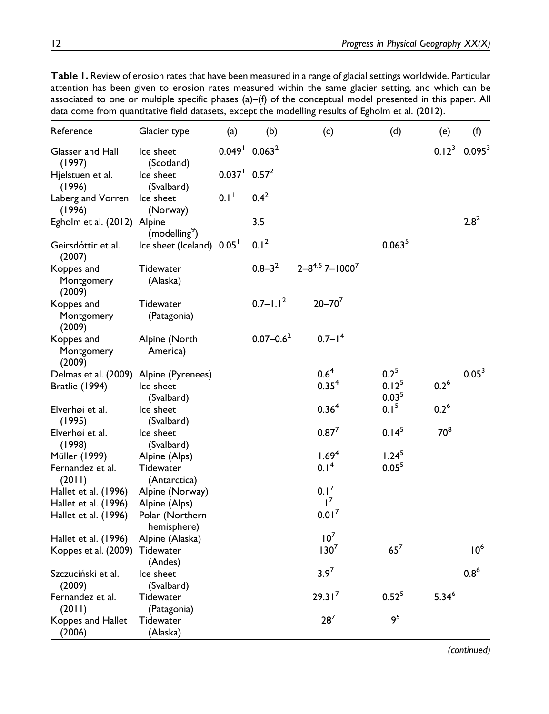**Table 1.** Review of erosion rates that have been measured in a range of glacial settings worldwide. Particular attention has been given to erosion rates measured within the same glacier setting, and which can be associated to one or multiple specific phases (a)–(f) of the conceptual model presented in this paper. All data come from quantitative field datasets, except the modelling results of Egholm et al. (2012).

| Reference                          | Glacier type                   | (a)                                      | (b)                | (c)                                 | (d)                                    | (e)              | (f)                |
|------------------------------------|--------------------------------|------------------------------------------|--------------------|-------------------------------------|----------------------------------------|------------------|--------------------|
| Glasser and Hall<br>(1997)         | Ice sheet<br>(Scotland)        | $0.049$ <sup>1</sup>                     | 0.063 <sup>2</sup> |                                     |                                        | $0.12^{3}$       | 0.095 <sup>3</sup> |
| Hjelstuen et al.<br>(1996)         | Ice sheet<br>(Svalbard)        | $0.037$ <sup>1</sup> $0.57$ <sup>2</sup> |                    |                                     |                                        |                  |                    |
| Laberg and Vorren<br>(1996)        | Ice sheet<br>(Norway)          | 0.1 <sup>1</sup>                         | $0.4^2$            |                                     |                                        |                  |                    |
| Egholm et al. (2012) Alpine        | (modelling <sup>9</sup> )      |                                          | 3.5                |                                     |                                        |                  | $2.8^{2}$          |
| Geirsdóttir et al.<br>(2007)       | Ice sheet (Iceland) 0.05       |                                          | 0.1 <sup>2</sup>   |                                     | 0.063 <sup>5</sup>                     |                  |                    |
| Koppes and<br>Montgomery<br>(2009) | Tidewater<br>(Alaska)          |                                          | $0.8 - 3^2$        | $2 - 8^{4.5}$ 7 - 1000 <sup>7</sup> |                                        |                  |                    |
| Koppes and<br>Montgomery<br>(2009) | Tidewater<br>(Patagonia)       |                                          | $0.7 - 1.12$       | $20 - 70^{7}$                       |                                        |                  |                    |
| Koppes and<br>Montgomery<br>(2009) | Alpine (North<br>America)      |                                          | $0.07 - 0.6^2$     | $0.7 - 14$                          |                                        |                  |                    |
| Delmas et al. (2009)               | Alpine (Pyrenees)              |                                          |                    | $0.6^4$                             | $0.2^5$                                |                  | $0.05^{3}$         |
| Bratlie (1994)                     | Ice sheet<br>(Svalbard)        |                                          |                    | 0.35 <sup>4</sup>                   | 0.12 <sup>5</sup><br>0.03 <sup>5</sup> | $0.2^6$          |                    |
| Elverhøi et al.<br>(1995)          | Ice sheet<br>(Svalbard)        |                                          |                    | 0.36 <sup>4</sup>                   | 0.1 <sup>5</sup>                       | 0.2 <sup>6</sup> |                    |
| Elverhøi et al.<br>(1998)          | Ice sheet<br>(Svalbard)        |                                          |                    | $0.87^{7}$                          | $0.14^{5}$                             | $70^8$           |                    |
| Müller (1999)                      | Alpine (Alps)                  |                                          |                    | 1.69 <sup>4</sup>                   | $1.24^{5}$                             |                  |                    |
| Fernandez et al.<br>(2011)         | Tidewater<br>(Antarctica)      |                                          |                    | 0.1 <sup>4</sup>                    | 0.05 <sup>5</sup>                      |                  |                    |
| Hallet et al. (1996)               | Alpine (Norway)                |                                          |                    | $0.1^{7}$                           |                                        |                  |                    |
| Hallet et al. (1996)               | Alpine (Alps)                  |                                          |                    | $1^7$                               |                                        |                  |                    |
| Hallet et al. (1996)               | Polar (Northern<br>hemisphere) |                                          |                    | 0.01 <sup>7</sup>                   |                                        |                  |                    |
| Hallet et al. (1996)               | Alpine (Alaska)                |                                          |                    | 10 <sup>7</sup>                     |                                        |                  |                    |
| Koppes et al. (2009)               | Tidewater<br>(Andes)           |                                          |                    | $130^7$                             | $65^7$                                 |                  | 10 <sup>6</sup>    |
| Szczuciński et al.<br>(2009)       | Ice sheet<br>(Svalbard)        |                                          |                    | $3.9^{7}$                           |                                        |                  | $0.8^{6}$          |
| Fernandez et al.<br>(2011)         | Tidewater<br>(Patagonia)       |                                          |                    | 29.31 <sup>7</sup>                  | $0.52^{5}$                             | $5.34^{6}$       |                    |
| Koppes and Hallet<br>(2006)        | Tidewater<br>(Alaska)          |                                          |                    | $28^{7}$                            | 9 <sup>5</sup>                         |                  |                    |

*(continued)*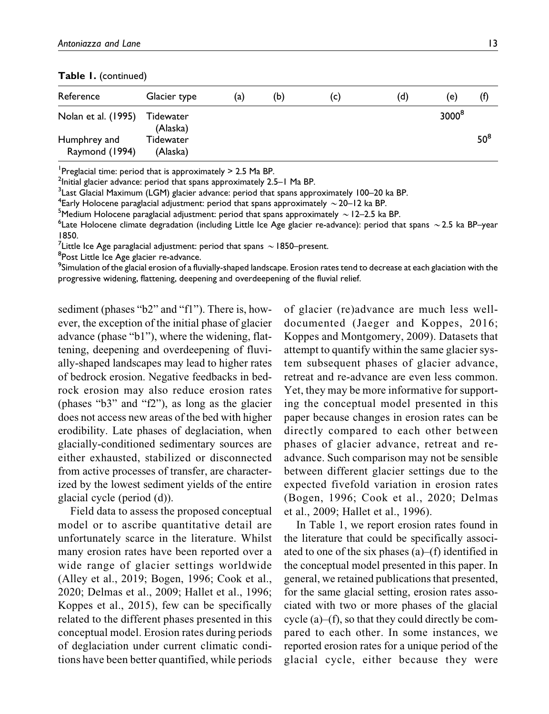**Table 1.** (continued)

| Reference                      | Glacier type          | (a) | (b) | (C) | (d) | (e)               | (f)    |
|--------------------------------|-----------------------|-----|-----|-----|-----|-------------------|--------|
|                                |                       |     |     |     |     |                   |        |
| Nolan et al. (1995)            | Tidewater<br>(Alaska) |     |     |     |     | 3000 <sup>8</sup> |        |
| Humphrey and<br>Raymond (1994) | Tidewater<br>(Alaska) |     |     |     |     |                   | $50^8$ |

Preglacial time: period that is approximately  $> 2.5$  Ma BP.

 $^2$ Initial glacier advance: period that spans approximately 2.5–1 Ma BP.

 $^3$ Last Glacial Maximum (LGM) glacier advance: period that spans approximately 100–20 ka BP.

<sup>4</sup> Early Holocene paraglacial adjustment: period that spans approximately  $\sim$  20–12 ka BP.<br><sup>5</sup> Medium Holocene paraglacial adjustment: period that spans approximately  $\sim$  12–2.5 ka

<sup>5</sup>Medium Holocene paraglacial adjustment: period that spans approximately  $\sim$  12–2.5 ka BP.

<sup>6</sup> Late Holocene climate degradation (including Little Ice Age glacier re-advance): period that spans  $\sim$  2.5 ka BP–year 1850.

<sup>7</sup>Little Ice Age paraglacial adjustment: period that spans  $\sim$  1850–present.<br><sup>8</sup>Post Little Ice Age glacier re-advance

<sup>8</sup>Post Little Ice Age glacier re-advance.

 $^9$ Simulation of the glacial erosion of a fluvially-shaped landscape. Erosion rates tend to decrease at each glaciation with the progressive widening, flattening, deepening and overdeepening of the fluvial relief.

sediment (phases "b2" and "f1"). There is, however, the exception of the initial phase of glacier advance (phase "b1"), where the widening, flattening, deepening and overdeepening of fluvially-shaped landscapes may lead to higher rates of bedrock erosion. Negative feedbacks in bedrock erosion may also reduce erosion rates (phases "b3" and "f2"), as long as the glacier does not access new areas of the bed with higher erodibility. Late phases of deglaciation, when glacially-conditioned sedimentary sources are either exhausted, stabilized or disconnected from active processes of transfer, are characterized by the lowest sediment yields of the entire glacial cycle (period (d)).

Field data to assess the proposed conceptual model or to ascribe quantitative detail are unfortunately scarce in the literature. Whilst many erosion rates have been reported over a wide range of glacier settings worldwide (Alley et al., 2019; Bogen, 1996; Cook et al., 2020; Delmas et al., 2009; Hallet et al., 1996; Koppes et al., 2015), few can be specifically related to the different phases presented in this conceptual model. Erosion rates during periods of deglaciation under current climatic conditions have been better quantified, while periods of glacier (re)advance are much less welldocumented (Jaeger and Koppes, 2016; Koppes and Montgomery, 2009). Datasets that attempt to quantify within the same glacier system subsequent phases of glacier advance, retreat and re-advance are even less common. Yet, they may be more informative for supporting the conceptual model presented in this paper because changes in erosion rates can be directly compared to each other between phases of glacier advance, retreat and readvance. Such comparison may not be sensible between different glacier settings due to the expected fivefold variation in erosion rates (Bogen, 1996; Cook et al., 2020; Delmas et al., 2009; Hallet et al., 1996).

In Table 1, we report erosion rates found in the literature that could be specifically associated to one of the six phases (a)–(f) identified in the conceptual model presented in this paper. In general, we retained publications that presented, for the same glacial setting, erosion rates associated with two or more phases of the glacial cycle (a)–(f), so that they could directly be compared to each other. In some instances, we reported erosion rates for a unique period of the glacial cycle, either because they were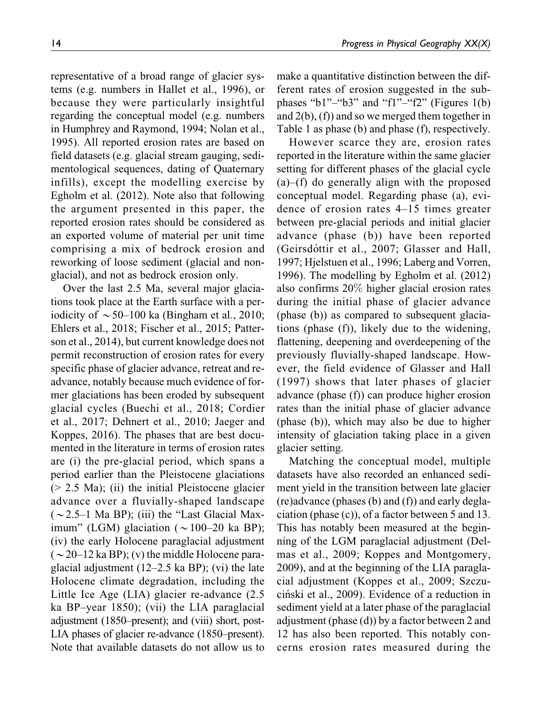representative of a broad range of glacier systems (e.g. numbers in Hallet et al., 1996), or because they were particularly insightful regarding the conceptual model (e.g. numbers in Humphrey and Raymond, 1994; Nolan et al., 1995). All reported erosion rates are based on field datasets (e.g. glacial stream gauging, sedimentological sequences, dating of Quaternary infills), except the modelling exercise by Egholm et al. (2012). Note also that following the argument presented in this paper, the reported erosion rates should be considered as an exported volume of material per unit time comprising a mix of bedrock erosion and reworking of loose sediment (glacial and nonglacial), and not as bedrock erosion only.

Over the last 2.5 Ma, several major glaciations took place at the Earth surface with a periodicity of  $\sim$  50–100 ka (Bingham et al., 2010; Ehlers et al., 2018; Fischer et al., 2015; Patterson et al., 2014), but current knowledge does not permit reconstruction of erosion rates for every specific phase of glacier advance, retreat and readvance, notably because much evidence of former glaciations has been eroded by subsequent glacial cycles (Buechi et al., 2018; Cordier et al., 2017; Dehnert et al., 2010; Jaeger and Koppes, 2016). The phases that are best documented in the literature in terms of erosion rates are (i) the pre-glacial period, which spans a period earlier than the Pleistocene glaciations (> 2.5 Ma); (ii) the initial Pleistocene glacier advance over a fluvially-shaped landscape  $(\sim 2.5-1$  Ma BP); (iii) the "Last Glacial Maximum" (LGM) glaciation ( $\sim$ 100–20 ka BP); (iv) the early Holocene paraglacial adjustment  $({\sim}20-12$  ka BP); (v) the middle Holocene paraglacial adjustment (12–2.5 ka BP); (vi) the late Holocene climate degradation, including the Little Ice Age (LIA) glacier re-advance (2.5 ka BP–year 1850); (vii) the LIA paraglacial adjustment (1850–present); and (viii) short, post-LIA phases of glacier re-advance (1850–present). Note that available datasets do not allow us to make a quantitative distinction between the different rates of erosion suggested in the subphases "b1"–"b3" and "f1"–"f2" (Figures  $1(b)$ ) and 2(b), (f)) and so we merged them together in Table 1 as phase (b) and phase (f), respectively.

However scarce they are, erosion rates reported in the literature within the same glacier setting for different phases of the glacial cycle (a)–(f) do generally align with the proposed conceptual model. Regarding phase (a), evidence of erosion rates 4–15 times greater between pre-glacial periods and initial glacier advance (phase (b)) have been reported (Geirsdóttir et al., 2007; Glasser and Hall, 1997; Hjelstuen et al., 1996; Laberg and Vorren, 1996). The modelling by Egholm et al. (2012) also confirms 20% higher glacial erosion rates during the initial phase of glacier advance (phase (b)) as compared to subsequent glaciations (phase (f)), likely due to the widening, flattening, deepening and overdeepening of the previously fluvially-shaped landscape. However, the field evidence of Glasser and Hall (1997) shows that later phases of glacier advance (phase (f)) can produce higher erosion rates than the initial phase of glacier advance (phase (b)), which may also be due to higher intensity of glaciation taking place in a given glacier setting.

Matching the conceptual model, multiple datasets have also recorded an enhanced sediment yield in the transition between late glacier (re)advance (phases (b) and (f)) and early deglaciation (phase (c)), of a factor between 5 and 13. This has notably been measured at the beginning of the LGM paraglacial adjustment (Delmas et al., 2009; Koppes and Montgomery, 2009), and at the beginning of the LIA paraglacial adjustment (Koppes et al., 2009; Szczuciński et al., 2009). Evidence of a reduction in sediment yield at a later phase of the paraglacial adjustment (phase (d)) by a factor between 2 and 12 has also been reported. This notably concerns erosion rates measured during the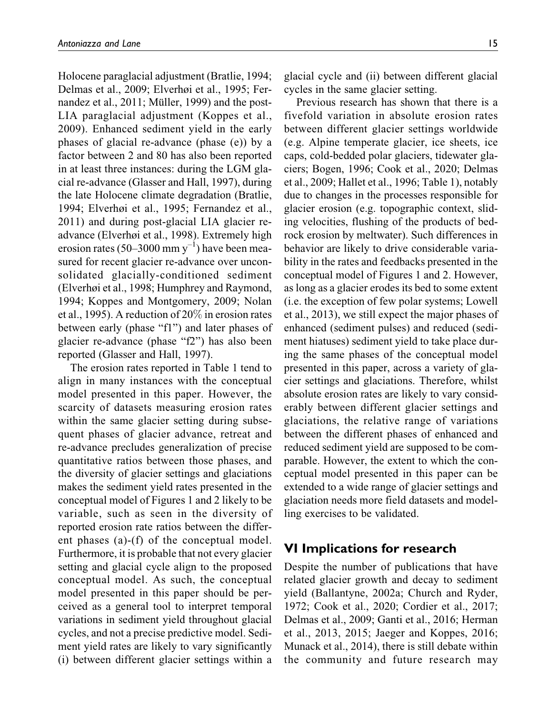Holocene paraglacial adjustment (Bratlie, 1994; Delmas et al., 2009; Elverhøi et al., 1995; Fernandez et al.,  $2011$ ; Müller, 1999) and the post-LIA paraglacial adjustment (Koppes et al., 2009). Enhanced sediment yield in the early phases of glacial re-advance (phase (e)) by a factor between 2 and 80 has also been reported in at least three instances: during the LGM glacial re-advance (Glasser and Hall, 1997), during the late Holocene climate degradation (Bratlie, 1994; Elverhøi et al., 1995; Fernandez et al., 2011) and during post-glacial LIA glacier readvance (Elverhøi et al., 1998). Extremely high erosion rates (50–3000 mm  $y^{-1}$ ) have been measured for recent glacier re-advance over unconsolidated glacially-conditioned sediment (Elverhøi et al., 1998; Humphrey and Raymond, 1994; Koppes and Montgomery, 2009; Nolan et al., 1995). A reduction of 20% in erosion rates between early (phase "f1") and later phases of glacier re-advance (phase "f2") has also been reported (Glasser and Hall, 1997).

The erosion rates reported in Table 1 tend to align in many instances with the conceptual model presented in this paper. However, the scarcity of datasets measuring erosion rates within the same glacier setting during subsequent phases of glacier advance, retreat and re-advance precludes generalization of precise quantitative ratios between those phases, and the diversity of glacier settings and glaciations makes the sediment yield rates presented in the conceptual model of Figures 1 and 2 likely to be variable, such as seen in the diversity of reported erosion rate ratios between the different phases (a)-(f) of the conceptual model. Furthermore, it is probable that not every glacier setting and glacial cycle align to the proposed conceptual model. As such, the conceptual model presented in this paper should be perceived as a general tool to interpret temporal variations in sediment yield throughout glacial cycles, and not a precise predictive model. Sediment yield rates are likely to vary significantly (i) between different glacier settings within a glacial cycle and (ii) between different glacial cycles in the same glacier setting.

Previous research has shown that there is a fivefold variation in absolute erosion rates between different glacier settings worldwide (e.g. Alpine temperate glacier, ice sheets, ice caps, cold-bedded polar glaciers, tidewater glaciers; Bogen, 1996; Cook et al., 2020; Delmas et al., 2009; Hallet et al., 1996; Table 1), notably due to changes in the processes responsible for glacier erosion (e.g. topographic context, sliding velocities, flushing of the products of bedrock erosion by meltwater). Such differences in behavior are likely to drive considerable variability in the rates and feedbacks presented in the conceptual model of Figures 1 and 2. However, as long as a glacier erodes its bed to some extent (i.e. the exception of few polar systems; Lowell et al., 2013), we still expect the major phases of enhanced (sediment pulses) and reduced (sediment hiatuses) sediment yield to take place during the same phases of the conceptual model presented in this paper, across a variety of glacier settings and glaciations. Therefore, whilst absolute erosion rates are likely to vary considerably between different glacier settings and glaciations, the relative range of variations between the different phases of enhanced and reduced sediment yield are supposed to be comparable. However, the extent to which the conceptual model presented in this paper can be extended to a wide range of glacier settings and glaciation needs more field datasets and modelling exercises to be validated.

### **VI Implications for research**

Despite the number of publications that have related glacier growth and decay to sediment yield (Ballantyne, 2002a; Church and Ryder, 1972; Cook et al., 2020; Cordier et al., 2017; Delmas et al., 2009; Ganti et al., 2016; Herman et al., 2013, 2015; Jaeger and Koppes, 2016; Munack et al., 2014), there is still debate within the community and future research may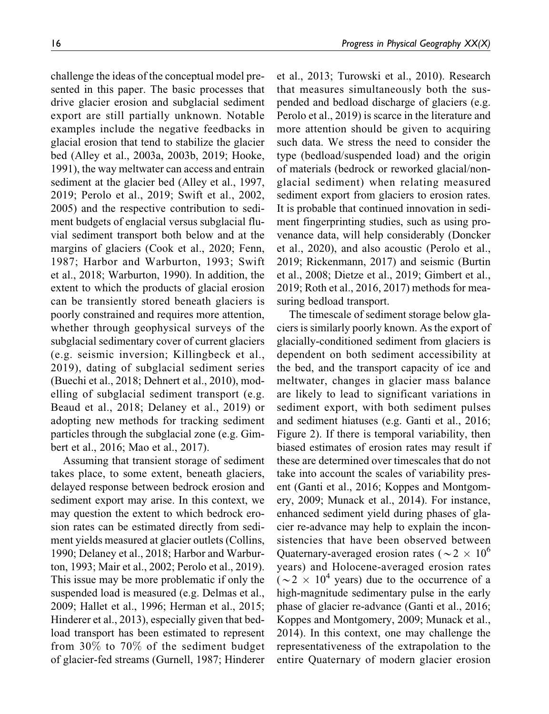challenge the ideas of the conceptual model presented in this paper. The basic processes that drive glacier erosion and subglacial sediment export are still partially unknown. Notable examples include the negative feedbacks in glacial erosion that tend to stabilize the glacier bed (Alley et al., 2003a, 2003b, 2019; Hooke, 1991), the way meltwater can access and entrain sediment at the glacier bed (Alley et al., 1997, 2019; Perolo et al., 2019; Swift et al., 2002, 2005) and the respective contribution to sediment budgets of englacial versus subglacial fluvial sediment transport both below and at the margins of glaciers (Cook et al., 2020; Fenn, 1987; Harbor and Warburton, 1993; Swift et al., 2018; Warburton, 1990). In addition, the extent to which the products of glacial erosion can be transiently stored beneath glaciers is poorly constrained and requires more attention, whether through geophysical surveys of the subglacial sedimentary cover of current glaciers (e.g. seismic inversion; Killingbeck et al., 2019), dating of subglacial sediment series (Buechi et al., 2018; Dehnert et al., 2010), modelling of subglacial sediment transport (e.g. Beaud et al., 2018; Delaney et al., 2019) or adopting new methods for tracking sediment particles through the subglacial zone (e.g. Gimbert et al., 2016; Mao et al., 2017).

Assuming that transient storage of sediment takes place, to some extent, beneath glaciers, delayed response between bedrock erosion and sediment export may arise. In this context, we may question the extent to which bedrock erosion rates can be estimated directly from sediment yields measured at glacier outlets (Collins, 1990; Delaney et al., 2018; Harbor and Warburton, 1993; Mair et al., 2002; Perolo et al., 2019). This issue may be more problematic if only the suspended load is measured (e.g. Delmas et al., 2009; Hallet et al., 1996; Herman et al., 2015; Hinderer et al., 2013), especially given that bedload transport has been estimated to represent from 30% to 70% of the sediment budget of glacier-fed streams (Gurnell, 1987; Hinderer et al., 2013; Turowski et al., 2010). Research that measures simultaneously both the suspended and bedload discharge of glaciers (e.g. Perolo et al., 2019) is scarce in the literature and more attention should be given to acquiring such data. We stress the need to consider the type (bedload/suspended load) and the origin of materials (bedrock or reworked glacial/nonglacial sediment) when relating measured sediment export from glaciers to erosion rates. It is probable that continued innovation in sediment fingerprinting studies, such as using provenance data, will help considerably (Doncker et al., 2020), and also acoustic (Perolo et al., 2019; Rickenmann, 2017) and seismic (Burtin et al., 2008; Dietze et al., 2019; Gimbert et al., 2019; Roth et al., 2016, 2017) methods for measuring bedload transport.

The timescale of sediment storage below glaciers is similarly poorly known. As the export of glacially-conditioned sediment from glaciers is dependent on both sediment accessibility at the bed, and the transport capacity of ice and meltwater, changes in glacier mass balance are likely to lead to significant variations in sediment export, with both sediment pulses and sediment hiatuses (e.g. Ganti et al., 2016; Figure 2). If there is temporal variability, then biased estimates of erosion rates may result if these are determined over timescales that do not take into account the scales of variability present (Ganti et al., 2016; Koppes and Montgomery, 2009; Munack et al., 2014). For instance, enhanced sediment yield during phases of glacier re-advance may help to explain the inconsistencies that have been observed between Quaternary-averaged erosion rates ( $\sim$  2  $\times$  10<sup>6</sup> years) and Holocene-averaged erosion rates  $(\sim 2 \times 10^4$  years) due to the occurrence of a high-magnitude sedimentary pulse in the early phase of glacier re-advance (Ganti et al., 2016; Koppes and Montgomery, 2009; Munack et al., 2014). In this context, one may challenge the representativeness of the extrapolation to the entire Quaternary of modern glacier erosion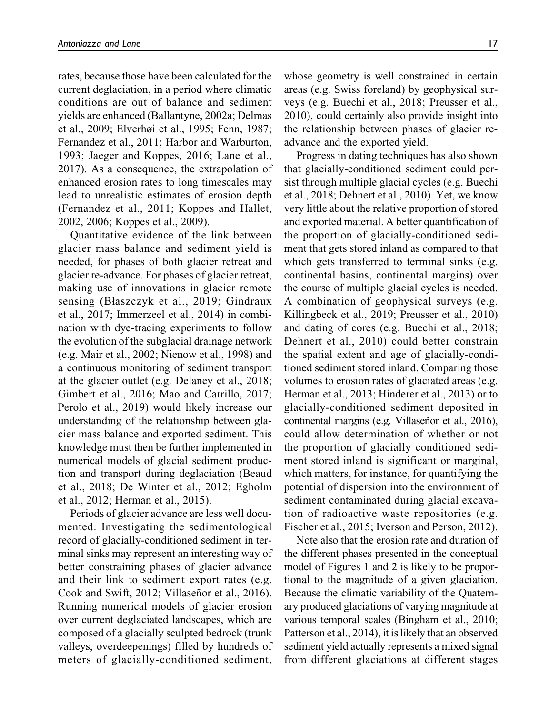rates, because those have been calculated for the current deglaciation, in a period where climatic conditions are out of balance and sediment yields are enhanced (Ballantyne, 2002a; Delmas et al., 2009; Elverhøi et al., 1995; Fenn, 1987; Fernandez et al., 2011; Harbor and Warburton, 1993; Jaeger and Koppes, 2016; Lane et al., 2017). As a consequence, the extrapolation of enhanced erosion rates to long timescales may lead to unrealistic estimates of erosion depth (Fernandez et al., 2011; Koppes and Hallet, 2002, 2006; Koppes et al., 2009).

Quantitative evidence of the link between glacier mass balance and sediment yield is needed, for phases of both glacier retreat and glacier re-advance. For phases of glacier retreat, making use of innovations in glacier remote sensing (Błaszczyk et al., 2019; Gindraux et al., 2017; Immerzeel et al., 2014) in combination with dye-tracing experiments to follow the evolution of the subglacial drainage network (e.g. Mair et al., 2002; Nienow et al., 1998) and a continuous monitoring of sediment transport at the glacier outlet (e.g. Delaney et al., 2018; Gimbert et al., 2016; Mao and Carrillo, 2017; Perolo et al., 2019) would likely increase our understanding of the relationship between glacier mass balance and exported sediment. This knowledge must then be further implemented in numerical models of glacial sediment production and transport during deglaciation (Beaud et al., 2018; De Winter et al., 2012; Egholm et al., 2012; Herman et al., 2015).

Periods of glacier advance are less well documented. Investigating the sedimentological record of glacially-conditioned sediment in terminal sinks may represent an interesting way of better constraining phases of glacier advance and their link to sediment export rates (e.g. Cook and Swift, 2012; Villaseñor et al., 2016). Running numerical models of glacier erosion over current deglaciated landscapes, which are composed of a glacially sculpted bedrock (trunk valleys, overdeepenings) filled by hundreds of meters of glacially-conditioned sediment,

whose geometry is well constrained in certain areas (e.g. Swiss foreland) by geophysical surveys (e.g. Buechi et al., 2018; Preusser et al., 2010), could certainly also provide insight into the relationship between phases of glacier readvance and the exported yield.

Progress in dating techniques has also shown that glacially-conditioned sediment could persist through multiple glacial cycles (e.g. Buechi et al., 2018; Dehnert et al., 2010). Yet, we know very little about the relative proportion of stored and exported material. A better quantification of the proportion of glacially-conditioned sediment that gets stored inland as compared to that which gets transferred to terminal sinks (e.g. continental basins, continental margins) over the course of multiple glacial cycles is needed. A combination of geophysical surveys (e.g. Killingbeck et al., 2019; Preusser et al., 2010) and dating of cores (e.g. Buechi et al., 2018; Dehnert et al., 2010) could better constrain the spatial extent and age of glacially-conditioned sediment stored inland. Comparing those volumes to erosion rates of glaciated areas (e.g. Herman et al., 2013; Hinderer et al., 2013) or to glacially-conditioned sediment deposited in continental margins (e.g. Villaseñor et al., 2016), could allow determination of whether or not the proportion of glacially conditioned sediment stored inland is significant or marginal, which matters, for instance, for quantifying the potential of dispersion into the environment of sediment contaminated during glacial excavation of radioactive waste repositories (e.g. Fischer et al., 2015; Iverson and Person, 2012).

Note also that the erosion rate and duration of the different phases presented in the conceptual model of Figures 1 and 2 is likely to be proportional to the magnitude of a given glaciation. Because the climatic variability of the Quaternary produced glaciations of varying magnitude at various temporal scales (Bingham et al., 2010; Patterson et al., 2014), it is likely that an observed sediment yield actually represents a mixed signal from different glaciations at different stages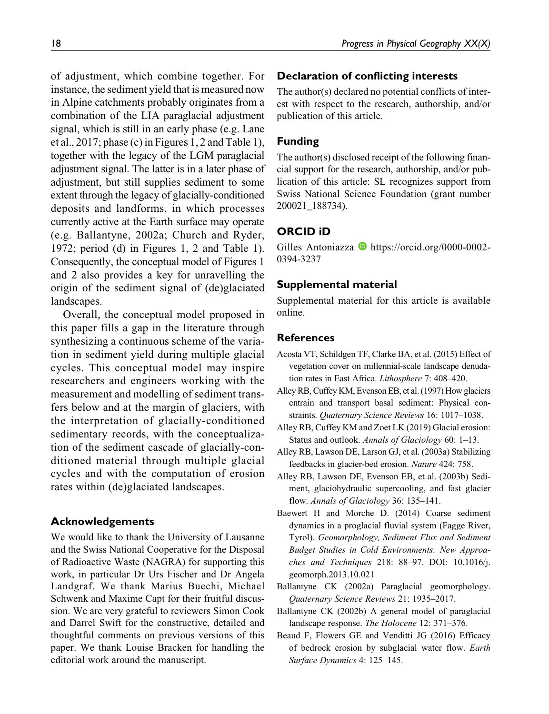of adjustment, which combine together. For instance, the sediment yield that is measured now in Alpine catchments probably originates from a combination of the LIA paraglacial adjustment signal, which is still in an early phase (e.g. Lane et al., 2017; phase (c) in Figures 1, 2 and Table 1), together with the legacy of the LGM paraglacial adjustment signal. The latter is in a later phase of adjustment, but still supplies sediment to some extent through the legacy of glacially-conditioned deposits and landforms, in which processes currently active at the Earth surface may operate (e.g. Ballantyne, 2002a; Church and Ryder, 1972; period (d) in Figures 1, 2 and Table 1). Consequently, the conceptual model of Figures 1 and 2 also provides a key for unravelling the origin of the sediment signal of (de)glaciated landscapes.

Overall, the conceptual model proposed in this paper fills a gap in the literature through synthesizing a continuous scheme of the variation in sediment yield during multiple glacial cycles. This conceptual model may inspire researchers and engineers working with the measurement and modelling of sediment transfers below and at the margin of glaciers, with the interpretation of glacially-conditioned sedimentary records, with the conceptualization of the sediment cascade of glacially-conditioned material through multiple glacial cycles and with the computation of erosion rates within (de)glaciated landscapes.

# **Acknowledgements**

We would like to thank the University of Lausanne and the Swiss National Cooperative for the Disposal of Radioactive Waste (NAGRA) for supporting this work, in particular Dr Urs Fischer and Dr Angela Landgraf. We thank Marius Buechi, Michael Schwenk and Maxime Capt for their fruitful discussion. We are very grateful to reviewers Simon Cook and Darrel Swift for the constructive, detailed and thoughtful comments on previous versions of this paper. We thank Louise Bracken for handling the editorial work around the manuscript.

### **Declaration of conflicting interests**

The author(s) declared no potential conflicts of interest with respect to the research, authorship, and/or publication of this article.

## **Funding**

The author(s) disclosed receipt of the following financial support for the research, authorship, and/or publication of this article: SL recognizes support from Swiss National Science Foundation (grant number 200021\_188734).

# **ORCID iD**

Gilles Antoniazza  $\bullet$  [https://orcid.org/0000-0002-](https://orcid.org/0000-0002-0394-3237) [0394-3237](https://orcid.org/0000-0002-0394-3237)

### **Supplemental material**

Supplemental material for this article is available online.

### **References**

- Acosta VT, Schildgen TF, Clarke BA, et al. (2015) Effect of vegetation cover on millennial-scale landscape denudation rates in East Africa. Lithosphere 7: 408–420.
- Alley RB, Cuffey KM, Evenson EB, et al. (1997) How glaciers entrain and transport basal sediment: Physical constraints. Quaternary Science Reviews 16: 1017–1038.
- Alley RB, Cuffey KM and Zoet LK (2019) Glacial erosion: Status and outlook. Annals of Glaciology 60: 1–13.
- Alley RB, Lawson DE, Larson GJ, et al. (2003a) Stabilizing feedbacks in glacier-bed erosion. Nature 424: 758.
- Alley RB, Lawson DE, Evenson EB, et al. (2003b) Sediment, glaciohydraulic supercooling, and fast glacier flow. Annals of Glaciology 36: 135–141.
- Baewert H and Morche D. (2014) Coarse sediment dynamics in a proglacial fluvial system (Fagge River, Tyrol). Geomorphology, Sediment Flux and Sediment Budget Studies in Cold Environments: New Approaches and Techniques 218: 88–97. DOI: 10.1016/j. geomorph.2013.10.021
- Ballantyne CK (2002a) Paraglacial geomorphology. Quaternary Science Reviews 21: 1935–2017.
- Ballantyne CK (2002b) A general model of paraglacial landscape response. The Holocene 12: 371–376.
- Beaud F, Flowers GE and Venditti JG (2016) Efficacy of bedrock erosion by subglacial water flow. Earth Surface Dynamics 4: 125–145.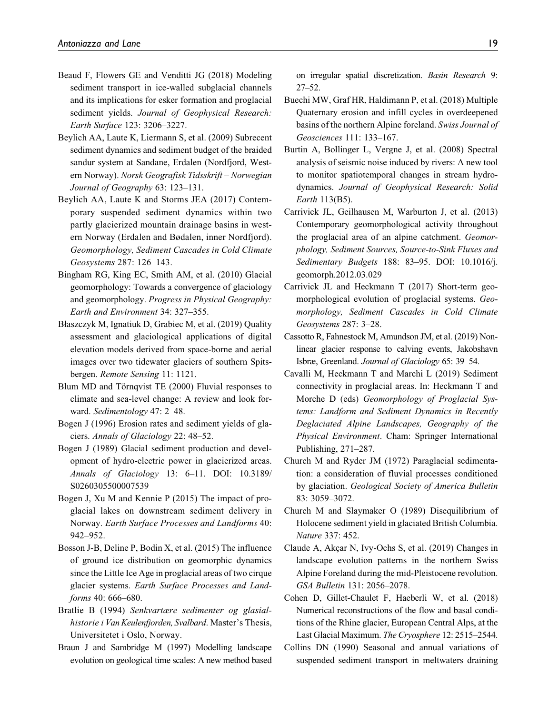- Beaud F, Flowers GE and Venditti JG (2018) Modeling sediment transport in ice-walled subglacial channels and its implications for esker formation and proglacial sediment yields. Journal of Geophysical Research: Earth Surface 123: 3206–3227.
- Beylich AA, Laute K, Liermann S, et al. (2009) Subrecent sediment dynamics and sediment budget of the braided sandur system at Sandane, Erdalen (Nordfjord, Western Norway). Norsk Geografisk Tidsskrift – Norwegian Journal of Geography 63: 123–131.
- Beylich AA, Laute K and Storms JEA (2017) Contemporary suspended sediment dynamics within two partly glacierized mountain drainage basins in western Norway (Erdalen and Bødalen, inner Nordfjord). Geomorphology, Sediment Cascades in Cold Climate Geosystems 287: 126–143.
- Bingham RG, King EC, Smith AM, et al. (2010) Glacial geomorphology: Towards a convergence of glaciology and geomorphology. Progress in Physical Geography: Earth and Environment 34: 327–355.
- Błaszczyk M, Ignatiuk D, Grabiec M, et al. (2019) Quality assessment and glaciological applications of digital elevation models derived from space-borne and aerial images over two tidewater glaciers of southern Spitsbergen. Remote Sensing 11: 1121.
- Blum MD and Törnqvist TE (2000) Fluvial responses to climate and sea-level change: A review and look forward. Sedimentology 47: 2–48.
- Bogen J (1996) Erosion rates and sediment yields of glaciers. Annals of Glaciology 22: 48–52.
- Bogen J (1989) Glacial sediment production and development of hydro-electric power in glacierized areas. Annals of Glaciology 13: 6–11. DOI: 10.3189/ S0260305500007539
- Bogen J, Xu M and Kennie P (2015) The impact of proglacial lakes on downstream sediment delivery in Norway. Earth Surface Processes and Landforms 40: 942–952.
- Bosson J-B, Deline P, Bodin X, et al. (2015) The influence of ground ice distribution on geomorphic dynamics since the Little Ice Age in proglacial areas of two cirque glacier systems. Earth Surface Processes and Landforms 40: 666–680.
- Bratlie B (1994) Senkvartære sedimenter og glasialhistorie i Van Keulenfjorden, Svalbard. Master's Thesis, Universitetet i Oslo, Norway.
- Braun J and Sambridge M (1997) Modelling landscape evolution on geological time scales: A new method based

on irregular spatial discretization. Basin Research 9: 27–52.

- Buechi MW, Graf HR, Haldimann P, et al. (2018) Multiple Quaternary erosion and infill cycles in overdeepened basins of the northern Alpine foreland. Swiss Journal of Geosciences 111: 133–167.
- Burtin A, Bollinger L, Vergne J, et al. (2008) Spectral analysis of seismic noise induced by rivers: A new tool to monitor spatiotemporal changes in stream hydrodynamics. Journal of Geophysical Research: Solid Earth 113(B5).
- Carrivick JL, Geilhausen M, Warburton J, et al. (2013) Contemporary geomorphological activity throughout the proglacial area of an alpine catchment. Geomorphology, Sediment Sources, Source-to-Sink Fluxes and Sedimentary Budgets 188: 83–95. DOI: 10.1016/j. geomorph.2012.03.029
- Carrivick JL and Heckmann T (2017) Short-term geomorphological evolution of proglacial systems. Geomorphology, Sediment Cascades in Cold Climate Geosystems 287: 3–28.
- Cassotto R, Fahnestock M, Amundson JM, et al. (2019) Nonlinear glacier response to calving events, Jakobshavn Isbræ, Greenland. Journal of Glaciology 65: 39–54.
- Cavalli M, Heckmann T and Marchi L (2019) Sediment connectivity in proglacial areas. In: Heckmann T and Morche D (eds) Geomorphology of Proglacial Systems: Landform and Sediment Dynamics in Recently Deglaciated Alpine Landscapes, Geography of the Physical Environment. Cham: Springer International Publishing, 271–287.
- Church M and Ryder JM (1972) Paraglacial sedimentation: a consideration of fluvial processes conditioned by glaciation. Geological Society of America Bulletin 83: 3059–3072.
- Church M and Slaymaker O (1989) Disequilibrium of Holocene sediment yield in glaciated British Columbia. Nature 337: 452.
- Claude A, Akçar N, Ivy-Ochs S, et al. (2019) Changes in landscape evolution patterns in the northern Swiss Alpine Foreland during the mid-Pleistocene revolution. GSA Bulletin 131: 2056–2078.
- Cohen D, Gillet-Chaulet F, Haeberli W, et al. (2018) Numerical reconstructions of the flow and basal conditions of the Rhine glacier, European Central Alps, at the Last Glacial Maximum. The Cryosphere 12: 2515–2544.
- Collins DN (1990) Seasonal and annual variations of suspended sediment transport in meltwaters draining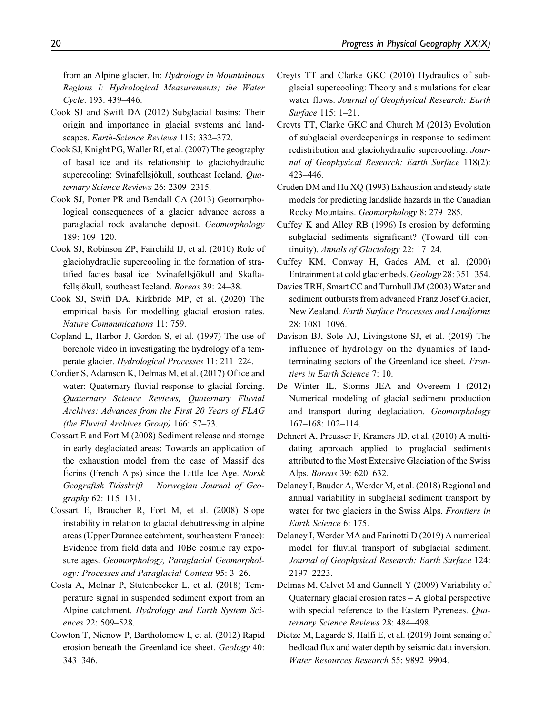from an Alpine glacier. In: Hydrology in Mountainous Regions I: Hydrological Measurements; the Water Cycle. 193: 439–446.

- Cook SJ and Swift DA (2012) Subglacial basins: Their origin and importance in glacial systems and landscapes. Earth-Science Reviews 115: 332–372.
- Cook SJ, Knight PG, Waller RI, et al. (2007) The geography of basal ice and its relationship to glaciohydraulic supercooling: Svínafellsjökull, southeast Iceland. Quaternary Science Reviews 26: 2309–2315.
- Cook SJ, Porter PR and Bendall CA (2013) Geomorphological consequences of a glacier advance across a paraglacial rock avalanche deposit. Geomorphology 189: 109–120.
- Cook SJ, Robinson ZP, Fairchild IJ, et al. (2010) Role of glaciohydraulic supercooling in the formation of stratified facies basal ice: Svínafellsjökull and Skaftafellsjökull, southeast Iceland. Boreas 39: 24–38.
- Cook SJ, Swift DA, Kirkbride MP, et al. (2020) The empirical basis for modelling glacial erosion rates. Nature Communications 11: 759.
- Copland L, Harbor J, Gordon S, et al. (1997) The use of borehole video in investigating the hydrology of a temperate glacier. Hydrological Processes 11: 211–224.
- Cordier S, Adamson K, Delmas M, et al. (2017) Of ice and water: Quaternary fluvial response to glacial forcing. Quaternary Science Reviews, Quaternary Fluvial Archives: Advances from the First 20 Years of FLAG (the Fluvial Archives Group) 166: 57–73.
- Cossart E and Fort M (2008) Sediment release and storage in early deglaciated areas: Towards an application of the exhaustion model from the case of Massif des Ecrins (French Alps) since the Little Ice Age. Norsk Geografisk Tidsskrift – Norwegian Journal of Geography 62: 115–131.
- Cossart E, Braucher R, Fort M, et al. (2008) Slope instability in relation to glacial debuttressing in alpine areas (Upper Durance catchment, southeastern France): Evidence from field data and 10Be cosmic ray exposure ages. Geomorphology, Paraglacial Geomorphology: Processes and Paraglacial Context 95: 3–26.
- Costa A, Molnar P, Stutenbecker L, et al. (2018) Temperature signal in suspended sediment export from an Alpine catchment. Hydrology and Earth System Sciences 22: 509–528.
- Cowton T, Nienow P, Bartholomew I, et al. (2012) Rapid erosion beneath the Greenland ice sheet. Geology 40: 343–346.
- Creyts TT and Clarke GKC (2010) Hydraulics of subglacial supercooling: Theory and simulations for clear water flows. Journal of Geophysical Research: Earth Surface 115: 1–21.
- Creyts TT, Clarke GKC and Church M (2013) Evolution of subglacial overdeepenings in response to sediment redistribution and glaciohydraulic supercooling. Journal of Geophysical Research: Earth Surface 118(2): 423–446.
- Cruden DM and Hu XQ (1993) Exhaustion and steady state models for predicting landslide hazards in the Canadian Rocky Mountains. Geomorphology 8: 279–285.
- Cuffey K and Alley RB (1996) Is erosion by deforming subglacial sediments significant? (Toward till continuity). Annals of Glaciology 22: 17–24.
- Cuffey KM, Conway H, Gades AM, et al. (2000) Entrainment at cold glacier beds. Geology 28: 351–354.
- Davies TRH, Smart CC and Turnbull JM (2003) Water and sediment outbursts from advanced Franz Josef Glacier, New Zealand. Earth Surface Processes and Landforms 28: 1081–1096.
- Davison BJ, Sole AJ, Livingstone SJ, et al. (2019) The influence of hydrology on the dynamics of landterminating sectors of the Greenland ice sheet. Frontiers in Earth Science 7: 10.
- De Winter IL, Storms JEA and Overeem I (2012) Numerical modeling of glacial sediment production and transport during deglaciation. Geomorphology 167–168: 102–114.
- Dehnert A, Preusser F, Kramers JD, et al. (2010) A multidating approach applied to proglacial sediments attributed to the Most Extensive Glaciation of the Swiss Alps. Boreas 39: 620–632.
- Delaney I, Bauder A, Werder M, et al. (2018) Regional and annual variability in subglacial sediment transport by water for two glaciers in the Swiss Alps. Frontiers in Earth Science 6: 175.
- Delaney I, Werder MA and Farinotti D (2019) A numerical model for fluvial transport of subglacial sediment. Journal of Geophysical Research: Earth Surface 124: 2197–2223.
- Delmas M, Calvet M and Gunnell Y (2009) Variability of Quaternary glacial erosion rates – A global perspective with special reference to the Eastern Pyrenees. Ouaternary Science Reviews 28: 484–498.
- Dietze M, Lagarde S, Halfi E, et al. (2019) Joint sensing of bedload flux and water depth by seismic data inversion. Water Resources Research 55: 9892–9904.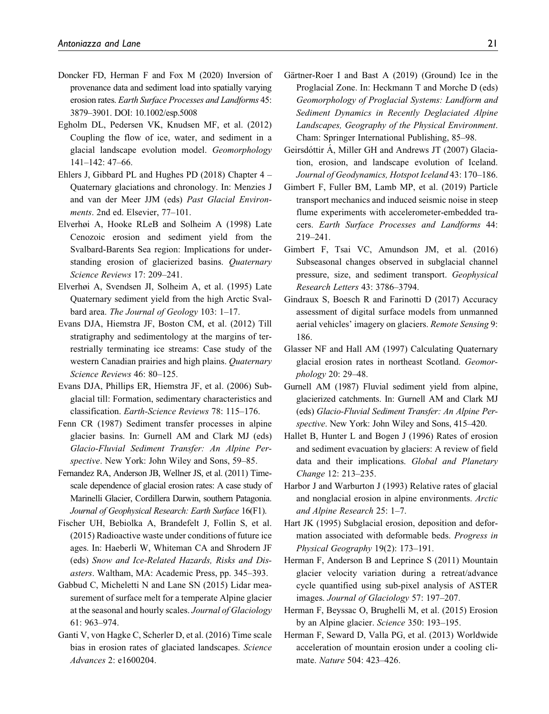- Doncker FD, Herman F and Fox M (2020) Inversion of provenance data and sediment load into spatially varying erosion rates. Earth Surface Processes and Landforms 45: 3879–3901. DOI: 10.1002/esp.5008
- Egholm DL, Pedersen VK, Knudsen MF, et al. (2012) Coupling the flow of ice, water, and sediment in a glacial landscape evolution model. Geomorphology 141–142: 47–66.
- Ehlers J, Gibbard PL and Hughes PD (2018) Chapter 4 Quaternary glaciations and chronology. In: Menzies J and van der Meer JJM (eds) Past Glacial Environments. 2nd ed. Elsevier, 77–101.
- Elverhøi A, Hooke RLeB and Solheim A (1998) Late Cenozoic erosion and sediment yield from the Svalbard-Barents Sea region: Implications for understanding erosion of glacierized basins. Quaternary Science Reviews 17: 209–241.
- Elverhøi A, Svendsen JI, Solheim A, et al. (1995) Late Quaternary sediment yield from the high Arctic Svalbard area. The Journal of Geology 103: 1-17.
- Evans DJA, Hiemstra JF, Boston CM, et al. (2012) Till stratigraphy and sedimentology at the margins of terrestrially terminating ice streams: Case study of the western Canadian prairies and high plains. Quaternary Science Reviews 46: 80–125.
- Evans DJA, Phillips ER, Hiemstra JF, et al. (2006) Subglacial till: Formation, sedimentary characteristics and classification. Earth-Science Reviews 78: 115–176.
- Fenn CR (1987) Sediment transfer processes in alpine glacier basins. In: Gurnell AM and Clark MJ (eds) Glacio-Fluvial Sediment Transfer: An Alpine Perspective. New York: John Wiley and Sons, 59–85.
- Fernandez RA, Anderson JB, Wellner JS, et al. (2011) Timescale dependence of glacial erosion rates: A case study of Marinelli Glacier, Cordillera Darwin, southern Patagonia. Journal of Geophysical Research: Earth Surface 16(F1).
- Fischer UH, Bebiolka A, Brandefelt J, Follin S, et al. (2015) Radioactive waste under conditions of future ice ages. In: Haeberli W, Whiteman CA and Shrodern JF (eds) Snow and Ice-Related Hazards, Risks and Disasters. Waltham, MA: Academic Press, pp. 345–393.
- Gabbud C, Micheletti N and Lane SN (2015) Lidar measurement of surface melt for a temperate Alpine glacier at the seasonal and hourly scales. Journal of Glaciology 61: 963–974.
- Ganti V, von Hagke C, Scherler D, et al. (2016) Time scale bias in erosion rates of glaciated landscapes. Science Advances 2: e1600204.
- Gärtner-Roer I and Bast A (2019) (Ground) Ice in the Proglacial Zone. In: Heckmann T and Morche D (eds) Geomorphology of Proglacial Systems: Landform and Sediment Dynamics in Recently Deglaciated Alpine Landscapes, Geography of the Physical Environment. Cham: Springer International Publishing, 85–98.
- Geirsdóttir A, Miller GH and Andrews JT (2007) Glaciation, erosion, and landscape evolution of Iceland. Journal of Geodynamics, Hotspot Iceland 43: 170–186.
- Gimbert F, Fuller BM, Lamb MP, et al. (2019) Particle transport mechanics and induced seismic noise in steep flume experiments with accelerometer-embedded tracers. Earth Surface Processes and Landforms 44: 219–241.
- Gimbert F, Tsai VC, Amundson JM, et al. (2016) Subseasonal changes observed in subglacial channel pressure, size, and sediment transport. Geophysical Research Letters 43: 3786–3794.
- Gindraux S, Boesch R and Farinotti D (2017) Accuracy assessment of digital surface models from unmanned aerial vehicles' imagery on glaciers. Remote Sensing 9: 186.
- Glasser NF and Hall AM (1997) Calculating Quaternary glacial erosion rates in northeast Scotland. Geomorphology 20: 29–48.
- Gurnell AM (1987) Fluvial sediment yield from alpine, glacierized catchments. In: Gurnell AM and Clark MJ (eds) Glacio-Fluvial Sediment Transfer: An Alpine Perspective. New York: John Wiley and Sons, 415–420.
- Hallet B, Hunter L and Bogen J (1996) Rates of erosion and sediment evacuation by glaciers: A review of field data and their implications. Global and Planetary Change 12: 213–235.
- Harbor J and Warburton J (1993) Relative rates of glacial and nonglacial erosion in alpine environments. Arctic and Alpine Research 25: 1–7.
- Hart JK (1995) Subglacial erosion, deposition and deformation associated with deformable beds. Progress in Physical Geography 19(2): 173–191.
- Herman F, Anderson B and Leprince S (2011) Mountain glacier velocity variation during a retreat/advance cycle quantified using sub-pixel analysis of ASTER images. Journal of Glaciology 57: 197–207.
- Herman F, Beyssac O, Brughelli M, et al. (2015) Erosion by an Alpine glacier. Science 350: 193–195.
- Herman F, Seward D, Valla PG, et al. (2013) Worldwide acceleration of mountain erosion under a cooling climate. Nature 504: 423–426.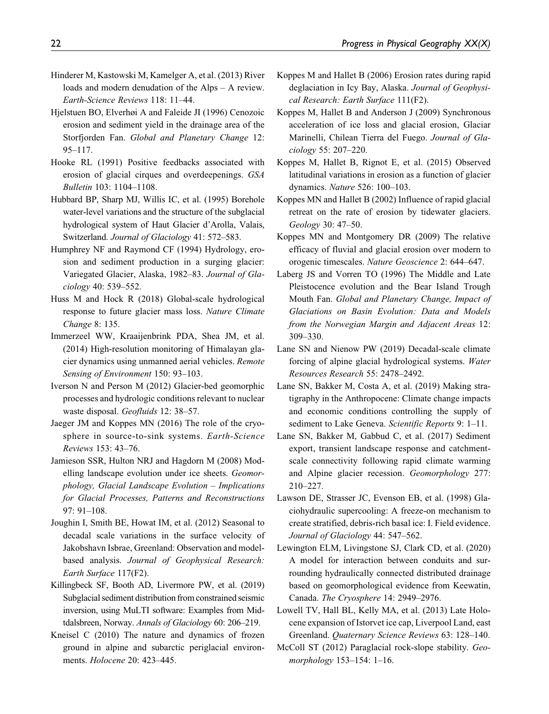- Hinderer M, Kastowski M, Kamelger A, et al. (2013) River loads and modern denudation of the Alps – A review. Earth-Science Reviews 118: 11–44.
- Hjelstuen BO, Elverhøi A and Faleide JI (1996) Cenozoic erosion and sediment yield in the drainage area of the Storfjorden Fan. Global and Planetary Change 12: 95–117.
- Hooke RL (1991) Positive feedbacks associated with erosion of glacial cirques and overdeepenings. GSA Bulletin 103: 1104–1108.
- Hubbard BP, Sharp MJ, Willis IC, et al. (1995) Borehole water-level variations and the structure of the subglacial hydrological system of Haut Glacier d'Arolla, Valais, Switzerland. Journal of Glaciology 41: 572–583.
- Humphrey NF and Raymond CF (1994) Hydrology, erosion and sediment production in a surging glacier: Variegated Glacier, Alaska, 1982–83. Journal of Glaciology 40: 539–552.
- Huss M and Hock R (2018) Global-scale hydrological response to future glacier mass loss. Nature Climate Change 8: 135.
- Immerzeel WW, Kraaijenbrink PDA, Shea JM, et al. (2014) High-resolution monitoring of Himalayan glacier dynamics using unmanned aerial vehicles. Remote Sensing of Environment 150: 93–103.
- Iverson N and Person M (2012) Glacier-bed geomorphic processes and hydrologic conditions relevant to nuclear waste disposal. Geofluids 12: 38–57.
- Jaeger JM and Koppes MN (2016) The role of the cryosphere in source-to-sink systems. Earth-Science Reviews 153: 43–76.
- Jamieson SSR, Hulton NRJ and Hagdorn M (2008) Modelling landscape evolution under ice sheets. Geomorphology, Glacial Landscape Evolution – Implications for Glacial Processes, Patterns and Reconstructions 97: 91–108.
- Joughin I, Smith BE, Howat IM, et al. (2012) Seasonal to decadal scale variations in the surface velocity of Jakobshavn Isbrae, Greenland: Observation and modelbased analysis. Journal of Geophysical Research: Earth Surface 117(F2).
- Killingbeck SF, Booth AD, Livermore PW, et al. (2019) Subglacial sediment distribution from constrained seismic inversion, using MuLTI software: Examples from Midtdalsbreen, Norway. Annals of Glaciology 60: 206–219.
- Kneisel C (2010) The nature and dynamics of frozen ground in alpine and subarctic periglacial environments. Holocene 20: 423–445.
- Koppes M and Hallet B (2006) Erosion rates during rapid deglaciation in Icy Bay, Alaska. Journal of Geophysical Research: Earth Surface 111(F2).
- Koppes M, Hallet B and Anderson J (2009) Synchronous acceleration of ice loss and glacial erosion, Glaciar Marinelli, Chilean Tierra del Fuego. Journal of Glaciology 55: 207–220.
- Koppes M, Hallet B, Rignot E, et al. (2015) Observed latitudinal variations in erosion as a function of glacier dynamics. Nature 526: 100–103.
- Koppes MN and Hallet B (2002) Influence of rapid glacial retreat on the rate of erosion by tidewater glaciers. Geology 30: 47–50.
- Koppes MN and Montgomery DR (2009) The relative efficacy of fluvial and glacial erosion over modern to orogenic timescales. Nature Geoscience 2: 644–647.
- Laberg JS and Vorren TO (1996) The Middle and Late Pleistocence evolution and the Bear Island Trough Mouth Fan. Global and Planetary Change, Impact of Glaciations on Basin Evolution: Data and Models from the Norwegian Margin and Adjacent Areas 12: 309–330.
- Lane SN and Nienow PW (2019) Decadal-scale climate forcing of alpine glacial hydrological systems. Water Resources Research 55: 2478–2492.
- Lane SN, Bakker M, Costa A, et al. (2019) Making stratigraphy in the Anthropocene: Climate change impacts and economic conditions controlling the supply of sediment to Lake Geneva. Scientific Reports 9: 1-11.
- Lane SN, Bakker M, Gabbud C, et al. (2017) Sediment export, transient landscape response and catchmentscale connectivity following rapid climate warming and Alpine glacier recession. Geomorphology 277: 210–227.
- Lawson DE, Strasser JC, Evenson EB, et al. (1998) Glaciohydraulic supercooling: A freeze-on mechanism to create stratified, debris-rich basal ice: I. Field evidence. Journal of Glaciology 44: 547–562.
- Lewington ELM, Livingstone SJ, Clark CD, et al. (2020) A model for interaction between conduits and surrounding hydraulically connected distributed drainage based on geomorphological evidence from Keewatin, Canada. The Cryosphere 14: 2949–2976.
- Lowell TV, Hall BL, Kelly MA, et al. (2013) Late Holocene expansion of Istorvet ice cap, Liverpool Land, east Greenland. Quaternary Science Reviews 63: 128–140.
- McColl ST (2012) Paraglacial rock-slope stability. Geomorphology 153–154: 1–16.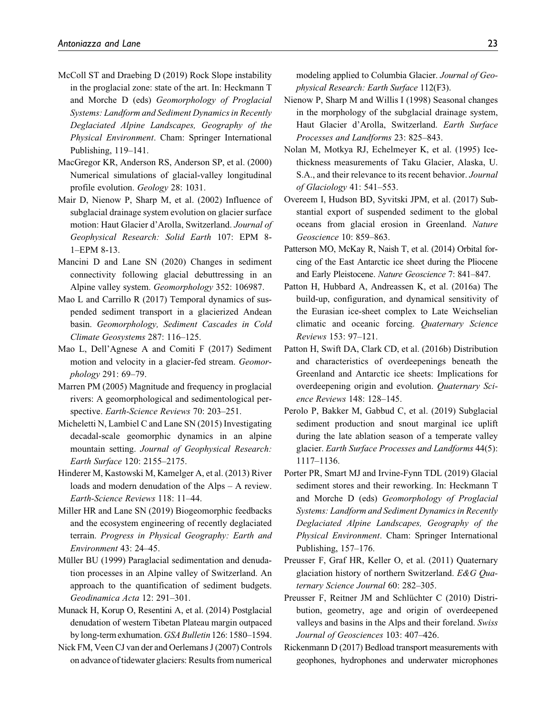- McColl ST and Draebing D (2019) Rock Slope instability in the proglacial zone: state of the art. In: Heckmann T and Morche D (eds) Geomorphology of Proglacial Systems: Landform and Sediment Dynamics in Recently Deglaciated Alpine Landscapes, Geography of the Physical Environment. Cham: Springer International Publishing, 119–141.
- MacGregor KR, Anderson RS, Anderson SP, et al. (2000) Numerical simulations of glacial-valley longitudinal profile evolution. Geology 28: 1031.
- Mair D, Nienow P, Sharp M, et al. (2002) Influence of subglacial drainage system evolution on glacier surface motion: Haut Glacier d'Arolla, Switzerland. Journal of Geophysical Research: Solid Earth 107: EPM 8- 1–EPM 8-13.
- Mancini D and Lane SN (2020) Changes in sediment connectivity following glacial debuttressing in an Alpine valley system. Geomorphology 352: 106987.
- Mao L and Carrillo R (2017) Temporal dynamics of suspended sediment transport in a glacierized Andean basin. Geomorphology, Sediment Cascades in Cold Climate Geosystems 287: 116–125.
- Mao L, Dell'Agnese A and Comiti F (2017) Sediment motion and velocity in a glacier-fed stream. Geomorphology 291: 69–79.
- Marren PM (2005) Magnitude and frequency in proglacial rivers: A geomorphological and sedimentological perspective. Earth-Science Reviews 70: 203–251.
- Micheletti N, Lambiel C and Lane SN (2015) Investigating decadal-scale geomorphic dynamics in an alpine mountain setting. Journal of Geophysical Research: Earth Surface 120: 2155–2175.
- Hinderer M, Kastowski M, Kamelger A, et al. (2013) River loads and modern denudation of the Alps – A review. Earth-Science Reviews 118: 11–44.
- Miller HR and Lane SN (2019) Biogeomorphic feedbacks and the ecosystem engineering of recently deglaciated terrain. Progress in Physical Geography: Earth and Environment 43: 24–45.
- Müller BU (1999) Paraglacial sedimentation and denudation processes in an Alpine valley of Switzerland. An approach to the quantification of sediment budgets. Geodinamica Acta 12: 291–301.
- Munack H, Korup O, Resentini A, et al. (2014) Postglacial denudation of western Tibetan Plateau margin outpaced by long-term exhumation.GSA Bulletin 126: 1580–1594.

Nick FM, Veen CJ van der and Oerlemans J (2007) Controls on advance of tidewater glaciers: Results from numerical

modeling applied to Columbia Glacier. Journal of Geophysical Research: Earth Surface 112(F3).

- Nienow P, Sharp M and Willis I (1998) Seasonal changes in the morphology of the subglacial drainage system, Haut Glacier d'Arolla, Switzerland. Earth Surface Processes and Landforms 23: 825–843.
- Nolan M, Motkya RJ, Echelmeyer K, et al. (1995) Icethickness measurements of Taku Glacier, Alaska, U. S.A., and their relevance to its recent behavior. Journal of Glaciology 41: 541–553.
- Overeem I, Hudson BD, Syvitski JPM, et al. (2017) Substantial export of suspended sediment to the global oceans from glacial erosion in Greenland. Nature Geoscience 10: 859–863.
- Patterson MO, McKay R, Naish T, et al. (2014) Orbital forcing of the East Antarctic ice sheet during the Pliocene and Early Pleistocene. Nature Geoscience 7: 841–847.
- Patton H, Hubbard A, Andreassen K, et al. (2016a) The build-up, configuration, and dynamical sensitivity of the Eurasian ice-sheet complex to Late Weichselian climatic and oceanic forcing. Quaternary Science Reviews 153: 97–121.
- Patton H, Swift DA, Clark CD, et al. (2016b) Distribution and characteristics of overdeepenings beneath the Greenland and Antarctic ice sheets: Implications for overdeepening origin and evolution. Quaternary Science Reviews 148: 128–145.
- Perolo P, Bakker M, Gabbud C, et al. (2019) Subglacial sediment production and snout marginal ice uplift during the late ablation season of a temperate valley glacier. Earth Surface Processes and Landforms 44(5): 1117–1136.
- Porter PR, Smart MJ and Irvine-Fynn TDL (2019) Glacial sediment stores and their reworking. In: Heckmann T and Morche D (eds) Geomorphology of Proglacial Systems: Landform and Sediment Dynamics in Recently Deglaciated Alpine Landscapes, Geography of the Physical Environment. Cham: Springer International Publishing, 157–176.
- Preusser F, Graf HR, Keller O, et al. (2011) Quaternary glaciation history of northern Switzerland. E&G Quaternary Science Journal 60: 282–305.
- Preusser F, Reitner JM and Schlüchter C (2010) Distribution, geometry, age and origin of overdeepened valleys and basins in the Alps and their foreland. Swiss Journal of Geosciences 103: 407–426.
- Rickenmann D (2017) Bedload transport measurements with geophones, hydrophones and underwater microphones